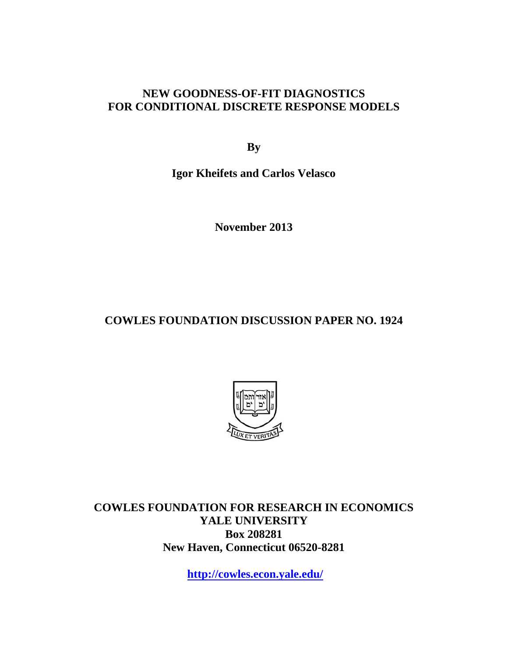### **NEW GOODNESS-OF-FIT DIAGNOSTICS FOR CONDITIONAL DISCRETE RESPONSE MODELS**

**By** 

**Igor Kheifets and Carlos Velasco** 

**November 2013** 

**COWLES FOUNDATION DISCUSSION PAPER NO. 1924** 



**COWLES FOUNDATION FOR RESEARCH IN ECONOMICS YALE UNIVERSITY Box 208281 New Haven, Connecticut 06520-8281** 

**http://cowles.econ.yale.edu/**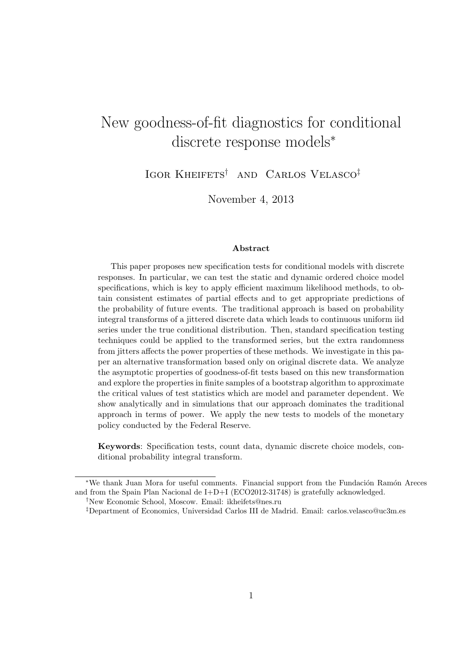# New goodness-of-fit diagnostics for conditional discrete response models<sup>∗</sup>

Igor Kheifets† and Carlos Velasco‡

November 4, 2013

#### Abstract

This paper proposes new specification tests for conditional models with discrete responses. In particular, we can test the static and dynamic ordered choice model specifications, which is key to apply efficient maximum likelihood methods, to obtain consistent estimates of partial effects and to get appropriate predictions of the probability of future events. The traditional approach is based on probability integral transforms of a jittered discrete data which leads to continuous uniform iid series under the true conditional distribution. Then, standard specification testing techniques could be applied to the transformed series, but the extra randomness from jitters affects the power properties of these methods. We investigate in this paper an alternative transformation based only on original discrete data. We analyze the asymptotic properties of goodness-of-fit tests based on this new transformation and explore the properties in finite samples of a bootstrap algorithm to approximate the critical values of test statistics which are model and parameter dependent. We show analytically and in simulations that our approach dominates the traditional approach in terms of power. We apply the new tests to models of the monetary policy conducted by the Federal Reserve.

Keywords: Specification tests, count data, dynamic discrete choice models, conditional probability integral transform.

<sup>\*</sup>We thank Juan Mora for useful comments. Financial support from the Fundación Ramón Areces and from the Spain Plan Nacional de I+D+I (ECO2012-31748) is gratefully acknowledged.

<sup>†</sup>New Economic School, Moscow. Email: ikheifets@nes.ru

<sup>‡</sup>Department of Economics, Universidad Carlos III de Madrid. Email: carlos.velasco@uc3m.es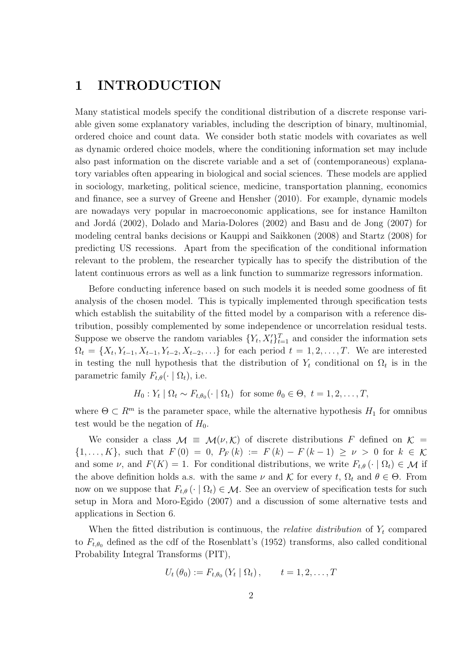# 1 INTRODUCTION

Many statistical models specify the conditional distribution of a discrete response variable given some explanatory variables, including the description of binary, multinomial, ordered choice and count data. We consider both static models with covariates as well as dynamic ordered choice models, where the conditioning information set may include also past information on the discrete variable and a set of (contemporaneous) explanatory variables often appearing in biological and social sciences. These models are applied in sociology, marketing, political science, medicine, transportation planning, economics and finance, see a survey of Greene and Hensher (2010). For example, dynamic models are nowadays very popular in macroeconomic applications, see for instance Hamilton and Jordá (2002), Dolado and Maria-Dolores (2002) and Basu and de Jong (2007) for modeling central banks decisions or Kauppi and Saikkonen (2008) and Startz (2008) for predicting US recessions. Apart from the specification of the conditional information relevant to the problem, the researcher typically has to specify the distribution of the latent continuous errors as well as a link function to summarize regressors information.

Before conducting inference based on such models it is needed some goodness of fit analysis of the chosen model. This is typically implemented through specification tests which establish the suitability of the fitted model by a comparison with a reference distribution, possibly complemented by some independence or uncorrelation residual tests. Suppose we observe the random variables  $\{Y_t, X_t'\}_{t=1}^T$  and consider the information sets  $\Omega_t = \{X_t, Y_{t-1}, X_{t-1}, Y_{t-2}, X_{t-2}, \ldots\}$  for each period  $t = 1, 2, \ldots, T$ . We are interested in testing the null hypothesis that the distribution of  $Y_t$  conditional on  $\Omega_t$  is in the parametric family  $F_{t,\theta}(\cdot | \Omega_t)$ , i.e.

 $H_0: Y_t | \Omega_t \sim F_{t,\theta_0}(\cdot | \Omega_t)$  for some  $\theta_0 \in \Theta, t = 1, 2, \ldots, T$ ,

where  $\Theta \subset \mathbb{R}^m$  is the parameter space, while the alternative hypothesis  $H_1$  for omnibus test would be the negation of  $H_0$ .

We consider a class  $\mathcal{M} \equiv \mathcal{M}(\nu, \mathcal{K})$  of discrete distributions F defined on  $\mathcal{K} =$  $\{1,\ldots,K\}$ , such that  $F(0) = 0$ ,  $P_F(k) := F(k) - F(k-1) \geq \nu > 0$  for  $k \in \mathcal{K}$ and some  $\nu$ , and  $F(K) = 1$ . For conditional distributions, we write  $F_{t,\theta}(\cdot | \Omega_t) \in \mathcal{M}$  if the above definition holds a.s. with the same  $\nu$  and  $\mathcal K$  for every t,  $\Omega_t$  and  $\theta \in \Theta$ . From now on we suppose that  $F_{t,\theta}(\cdot | \Omega_t) \in \mathcal{M}$ . See an overview of specification tests for such setup in Mora and Moro-Egido (2007) and a discussion of some alternative tests and applications in Section 6.

When the fitted distribution is continuous, the *relative distribution* of  $Y_t$  compared to  $F_{t,\theta_0}$  defined as the cdf of the Rosenblatt's (1952) transforms, also called conditional Probability Integral Transforms (PIT),

$$
U_t(\theta_0) := F_{t,\theta_0}(Y_t | \Omega_t), \qquad t = 1,2,\ldots,T
$$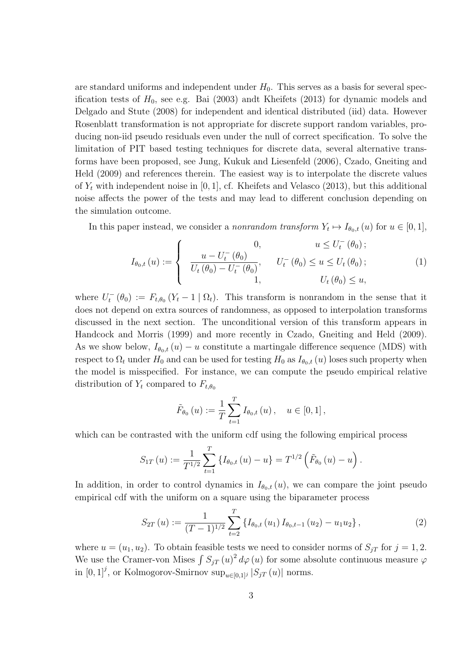are standard uniforms and independent under  $H_0$ . This serves as a basis for several specification tests of  $H_0$ , see e.g. Bai (2003) andt Kheifets (2013) for dynamic models and Delgado and Stute (2008) for independent and identical distributed (iid) data. However Rosenblatt transformation is not appropriate for discrete support random variables, producing non-iid pseudo residuals even under the null of correct specification. To solve the limitation of PIT based testing techniques for discrete data, several alternative transforms have been proposed, see Jung, Kukuk and Liesenfeld (2006), Czado, Gneiting and Held (2009) and references therein. The easiest way is to interpolate the discrete values of  $Y_t$  with independent noise in [0, 1], cf. Kheifets and Velasco (2013), but this additional noise affects the power of the tests and may lead to different conclusion depending on the simulation outcome.

In this paper instead, we consider a *nonrandom transform*  $Y_t \mapsto I_{\theta_0,t}(u)$  for  $u \in [0,1]$ ,

$$
I_{\theta_{0},t}(u) := \begin{cases} 0, & u \le U_t^-(\theta_0); \\ \frac{u - U_t^-(\theta_0)}{U_t(\theta_0) - U_t^-(\theta_0)}, & U_t^-(\theta_0) \le u \le U_t(\theta_0); \\ 1, & U_t(\theta_0) \le u, \end{cases}
$$
(1)

where  $U_t^-(\theta_0) := F_{t,\theta_0} (Y_t - 1 | \Omega_t)$ . This transform is nonrandom in the sense that it does not depend on extra sources of randomness, as opposed to interpolation transforms discussed in the next section. The unconditional version of this transform appears in Handcock and Morris (1999) and more recently in Czado, Gneiting and Held (2009). As we show below,  $I_{\theta_0,t}(u) - u$  constitute a martingale difference sequence (MDS) with respect to  $\Omega_t$  under  $H_0$  and can be used for testing  $H_0$  as  $I_{\theta_0,t}(u)$  loses such property when the model is misspecified. For instance, we can compute the pseudo empirical relative distribution of  $Y_t$  compared to  $F_{t,\theta_0}$ 

$$
\tilde{F}_{\theta_0}(u) := \frac{1}{T} \sum_{t=1}^T I_{\theta_0,t}(u), \quad u \in [0,1],
$$

which can be contrasted with the uniform cdf using the following empirical process

$$
S_{1T}(u) := \frac{1}{T^{1/2}} \sum_{t=1}^{T} \left\{ I_{\theta_0,t}(u) - u \right\} = T^{1/2} \left( \tilde{F}_{\theta_0}(u) - u \right).
$$

In addition, in order to control dynamics in  $I_{\theta_0,t}(u)$ , we can compare the joint pseudo empirical cdf with the uniform on a square using the biparameter process

$$
S_{2T}(u) := \frac{1}{(T-1)^{1/2}} \sum_{t=2}^{T} \left\{ I_{\theta_0, t}(u_1) I_{\theta_0, t-1}(u_2) - u_1 u_2 \right\},
$$
\n(2)

where  $u = (u_1, u_2)$ . To obtain feasible tests we need to consider norms of  $S_{jT}$  for  $j = 1, 2$ . We use the Cramer-von Mises  $\int S_{jT} (u)^2 d\varphi(u)$  for some absolute continuous measure  $\varphi$ in  $[0,1]^j$ , or Kolmogorov-Smirnov sup<sub>u∈[0,1]j</sub>  $|S_{jT}(u)|$  norms.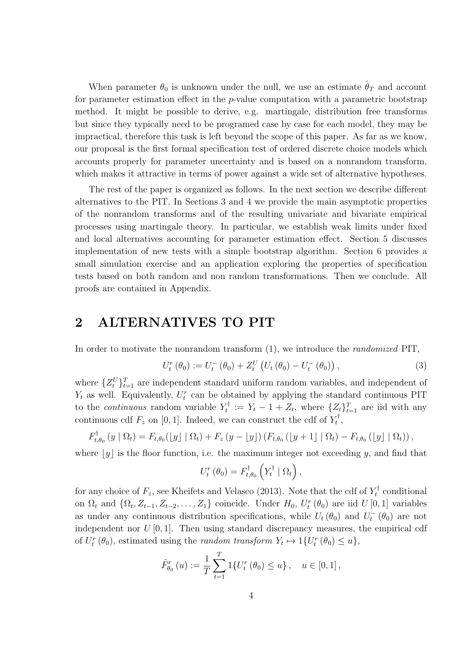When parameter  $\theta_0$  is unknown under the null, we use an estimate  $\hat{\theta}_T$  and account for parameter estimation effect in the p-value computation with a parametric bootstrap method. It might be possible to derive, e.g. martingale, distribution free transforms but since they typically need to be programed case by case for each model, they may be impractical, therefore this task is left beyond the scope of this paper. As far as we know, our proposal is the first formal specification test of ordered discrete choice models which accounts properly for parameter uncertainty and is based on a nonrandom transform, which makes it attractive in terms of power against a wide set of alternative hypotheses.

The rest of the paper is organized as follows. In the next section we describe different alternatives to the PIT. In Sections 3 and 4 we provide the main asymptotic properties of the nonrandom transforms and of the resulting univariate and bivariate empirical processes using martingale theory. In particular, we establish weak limits under fixed and local alternatives accounting for parameter estimation effect. Section 5 discusses implementation of new tests with a simple bootstrap algorithm. Section 6 provides a small simulation exercise and an application exploring the properties of specification tests based on both random and non random transformations. Then we conclude. All proofs are contained in Appendix.

### 2 ALTERNATIVES TO PIT

In order to motivate the nonrandom transform (1), we introduce the randomized PIT,

$$
U_t^r(\theta_0) := U_t^-(\theta_0) + Z_t^U(U_t(\theta_0) - U_t^-(\theta_0)),
$$
\n(3)

where  $\{Z_t^U\}_{t=1}^T$  are independent standard uniform random variables, and independent of  $Y_t$  as well. Equivalently,  $U_t^r$  can be obtained by applying the standard continuous PIT to the *continuous* random variable  $Y_t^{\dagger}$  $Y_t^{\dagger} := Y_t - 1 + Z_t$ , where  $\{Z_t\}_{t=1}^T$  are iid with any continuous cdf  $F_z$  on [0, 1]. Indeed, we can construct the cdf of  $Y_t^{\dagger}$  $_t^\tau,$ 

$$
F_{t,\theta_0}^{\dagger}(y \mid \Omega_t) = F_{t,\theta_0}(\lfloor y \rfloor \mid \Omega_t) + F_z(y - \lfloor y \rfloor) (F_{t,\theta_0}(\lfloor y + 1 \rfloor \mid \Omega_t) - F_{t,\theta_0}(\lfloor y \rfloor \mid \Omega_t)),
$$

where  $[y]$  is the floor function, i.e. the maximum integer not exceeding y, and find that

$$
U_t^r(\theta_0) = F_{t,\theta_0}^\dagger\left(Y_t^\dagger \mid \Omega_t\right),
$$

for any choice of  $F_z$ , see Kheifets and Velasco (2013). Note that the cdf of  $Y_t^{\dagger}$  $\zeta_t^{\uparrow}$  conditional on  $\Omega_t$  and  $\{\Omega_t, Z_{t-1}, Z_{t-2}, \ldots, Z_1\}$  coincide. Under  $H_0$ ,  $U_t^r(\theta_0)$  are iid  $U[0,1]$  variables as under any continuous distribution specifications, while  $U_t(\theta_0)$  and  $U_t^-(\theta_0)$  are not independent nor  $U[0,1]$ . Then using standard discrepancy measures, the empirical cdf of  $U_t^r(\theta_0)$ , estimated using the *random transform*  $Y_t \mapsto \mathbb{1}{U_t^r(\theta_0) \leq u}$ ,

$$
\hat{F}_{\theta_0}^r(u) := \frac{1}{T} \sum_{t=1}^T 1\{U_t^r(\theta_0) \le u\}, \quad u \in [0,1],
$$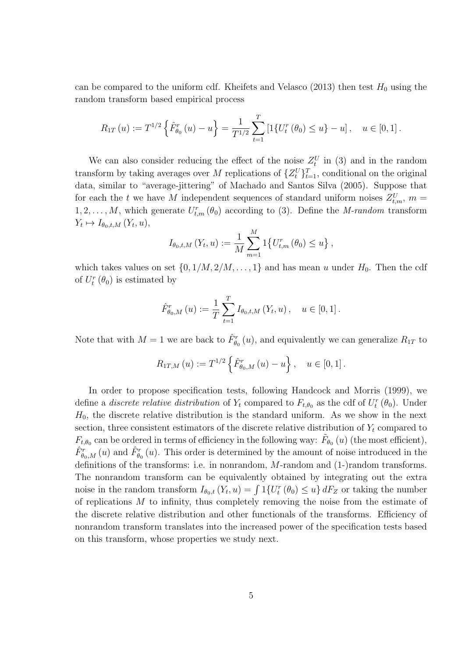can be compared to the uniform cdf. Kheifets and Velasco (2013) then test  $H_0$  using the random transform based empirical process

$$
R_{1T}(u) := T^{1/2} \left\{ \hat{F}_{\theta_0}^r(u) - u \right\} = \frac{1}{T^{1/2}} \sum_{t=1}^T \left[ 1 \{ U_t^r(\theta_0) \le u \} - u \right], \quad u \in [0, 1].
$$

We can also consider reducing the effect of the noise  $Z_t^U$  in (3) and in the random transform by taking averages over M replications of  $\{Z_t^U\}_{t=1}^T$ , conditional on the original data, similar to "average-jittering" of Machado and Santos Silva (2005). Suppose that for each the t we have M independent sequences of standard uniform noises  $Z_{t,m}^U$ ,  $m =$  $1, 2, \ldots, M$ , which generate  $U_{t,m}^r(\theta_0)$  according to (3). Define the *M-random* transform  $Y_t \mapsto I_{\theta_0,t,M}(Y_t,u),$ 

$$
I_{\theta_0,t,M}(Y_t, u) := \frac{1}{M} \sum_{m=1}^{M} 1 \{ U_{t,m}^r(\theta_0) \le u \},
$$

which takes values on set  $\{0, 1/M, 2/M, \ldots, 1\}$  and has mean u under  $H_0$ . Then the cdf of  $U_t^r(\theta_0)$  is estimated by

$$
\hat{F}_{\theta_0,M}^r(u) := \frac{1}{T} \sum_{t=1}^T I_{\theta_0,t,M}(Y_t, u), \quad u \in [0,1].
$$

Note that with  $M = 1$  we are back to  $\hat{F}_{\theta_0}^r(u)$ , and equivalently we can generalize  $R_{1T}$  to

$$
R_{1T,M}(u) := T^{1/2} \left\{ \hat{F}_{\theta_0,M}^r(u) - u \right\}, \quad u \in [0,1].
$$

In order to propose specification tests, following Handcock and Morris (1999), we define a *discrete relative distribution* of  $Y_t$  compared to  $F_{t,\theta_0}$  as the cdf of  $U_t^r(\theta_0)$ . Under  $H_0$ , the discrete relative distribution is the standard uniform. As we show in the next section, three consistent estimators of the discrete relative distribution of  $Y_t$  compared to  $F_{t,\theta_0}$  can be ordered in terms of efficiency in the following way:  $\tilde{F}_{\theta_0}(u)$  (the most efficient),  $\hat{F}^r_{\theta_0,M}(u)$  and  $\hat{F}^r_{\theta_0}(u)$ . This order is determined by the amount of noise introduced in the definitions of the transforms: i.e. in nonrandom, M-random and (1-)random transforms. The nonrandom transform can be equivalently obtained by integrating out the extra noise in the random transform  $I_{\theta_0,t}(Y_t, u) = \int 1\{U_t^r(\theta_0) \leq u\} dF_Z$  or taking the number of replications M to infinity, thus completely removing the noise from the estimate of the discrete relative distribution and other functionals of the transforms. Efficiency of nonrandom transform translates into the increased power of the specification tests based on this transform, whose properties we study next.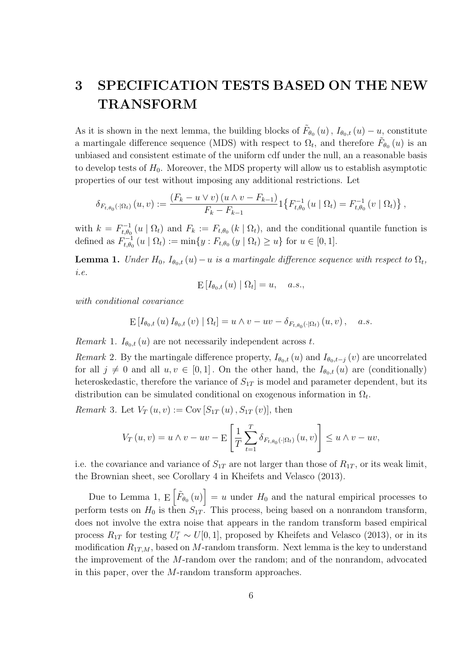# 3 SPECIFICATION TESTS BASED ON THE NEW TRANSFORM

As it is shown in the next lemma, the building blocks of  $\tilde{F}_{\theta_0}(u)$ ,  $I_{\theta_0,t}(u) - u$ , constitute a martingale difference sequence (MDS) with respect to  $\Omega_t$ , and therefore  $\tilde{F}_{\theta_0}(u)$  is an unbiased and consistent estimate of the uniform cdf under the null, an a reasonable basis to develop tests of  $H_0$ . Moreover, the MDS property will allow us to establish asymptotic properties of our test without imposing any additional restrictions. Let

$$
\delta_{F_{t,\theta_0}(\cdot|\Omega_t)}(u,v) := \frac{(F_k - u \vee v) (u \wedge v - F_{k-1})}{F_k - F_{k-1}} 1\{F_{t,\theta_0}^{-1}(u \mid \Omega_t) = F_{t,\theta_0}^{-1}(v \mid \Omega_t)\},
$$

with  $k = F_{t \theta c}^{-1}$  $t_{t,\theta_0}^{-1}(u \mid \Omega_t)$  and  $F_k := F_{t,\theta_0}(k \mid \Omega_t)$ , and the conditional quantile function is defined as  $F_{t,\theta_c}^{-1}$  $t_{t,\theta_0}^{-1}(u \mid \Omega_t) := \min\{y : F_{t,\theta_0}(y \mid \Omega_t) \geq u\}$  for  $u \in [0,1].$ 

**Lemma 1.** Under  $H_0$ ,  $I_{\theta_0,t}(u)-u$  is a martingale difference sequence with respect to  $\Omega_t$ , i.e.

$$
\mathrm{E}\left[I_{\theta_0,t}\left(u\right) \mid \Omega_t\right] = u, \quad a.s.,
$$

with conditional covariance

$$
\mathbb{E}\left[I_{\theta_{0},t}\left(u\right)I_{\theta_{0},t}\left(v\right)\mid\Omega_{t}\right] = u \wedge v - uv - \delta_{F_{t,\theta_{0}}\left(\cdot\mid\Omega_{t}\right)}\left(u,v\right), \quad a.s.
$$

*Remark* 1.  $I_{\theta_{0},t}(u)$  are not necessarily independent across t.

Remark 2. By the martingale difference property,  $I_{\theta_0,t} (u)$  and  $I_{\theta_0,t-j} (v)$  are uncorrelated for all  $j \neq 0$  and all  $u, v \in [0, 1]$ . On the other hand, the  $I_{\theta_0,t}(u)$  are (conditionally) heteroskedastic, therefore the variance of  $S_{1T}$  is model and parameter dependent, but its distribution can be simulated conditional on exogenous information in  $\Omega_t$ .

*Remark* 3. Let  $V_T(u, v) := \text{Cov}[S_{1T}(u), S_{1T}(v)],$  then

$$
V_T(u,v) = u \wedge v - uv - \mathbb{E}\left[\frac{1}{T}\sum_{t=1}^T \delta_{F_{t,\theta_0}(\cdot|\Omega_t)}(u,v)\right] \leq u \wedge v - uv,
$$

i.e. the covariance and variance of  $S_{1T}$  are not larger than those of  $R_{1T}$ , or its weak limit, the Brownian sheet, see Corollary 4 in Kheifets and Velasco (2013).

Due to Lemma 1,  $E\left[\tilde{F}_{\theta_0}(u)\right] = u$  under  $H_0$  and the natural empirical processes to perform tests on  $H_0$  is then  $S_{1T}$ . This process, being based on a nonrandom transform, does not involve the extra noise that appears in the random transform based empirical process  $R_{1T}$  for testing  $U_t^r \sim U[0, 1]$ , proposed by Kheifets and Velasco (2013), or in its modification  $R_{1T,M}$ , based on M-random transform. Next lemma is the key to understand the improvement of the M-random over the random; and of the nonrandom, advocated in this paper, over the M-random transform approaches.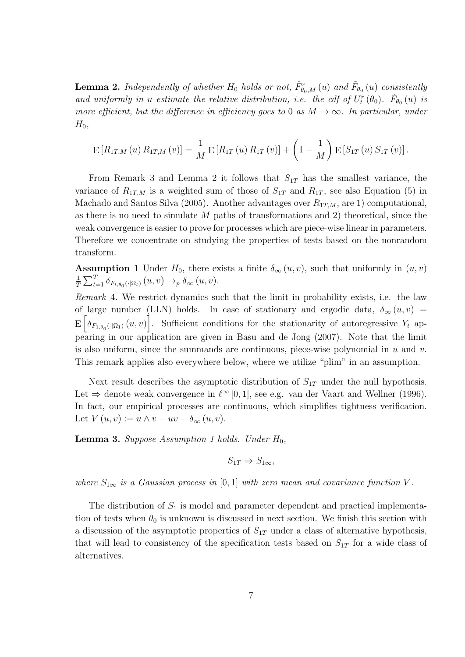**Lemma 2.** Independently of whether  $H_0$  holds or not,  $\hat{F}_{\theta_0,M}^r(u)$  and  $\tilde{F}_{\theta_0}(u)$  consistently and uniformly in u estimate the relative distribution, i.e. the cdf of  $U_t^r(\theta_0)$ .  $\tilde{F}_{\theta_0}(u)$  is more efficient, but the difference in efficiency goes to 0 as  $M \to \infty$ . In particular, under  $H_0$ ,

$$
E[R_{1T,M}(u) R_{1T,M}(v)] = \frac{1}{M} E[R_{1T}(u) R_{1T}(v)] + \left(1 - \frac{1}{M}\right) E[S_{1T}(u) S_{1T}(v)].
$$

From Remark 3 and Lemma 2 it follows that  $S_{1T}$  has the smallest variance, the variance of  $R_{1T,M}$  is a weighted sum of those of  $S_{1T}$  and  $R_{1T}$ , see also Equation (5) in Machado and Santos Silva (2005). Another advantages over  $R_{1T,M}$ , are 1) computational, as there is no need to simulate  $M$  paths of transformations and 2) theoretical, since the weak convergence is easier to prove for processes which are piece-wise linear in parameters. Therefore we concentrate on studying the properties of tests based on the nonrandom transform.

**Assumption 1** Under  $H_0$ , there exists a finite  $\delta_\infty(u, v)$ , such that uniformly in  $(u, v)$ 1  $\frac{1}{T} \sum_{t=1}^T \delta_{F_{t,\theta_0}(\cdot|\Omega_t)}(u,v) \to_p \delta_\infty(u,v).$ 

Remark 4. We restrict dynamics such that the limit in probability exists, i.e. the law of large number (LLN) holds. In case of stationary and ergodic data,  $\delta_{\infty}(u, v)$  =  $E\left[\delta_{F_{1,\theta_0}(\cdot|\Omega_1)}(u,v)\right]$ . Sufficient conditions for the stationarity of autoregressive  $Y_t$  appearing in our application are given in Basu and de Jong (2007). Note that the limit is also uniform, since the summands are continuous, piece-wise polynomial in  $u$  and  $v$ . This remark applies also everywhere below, where we utilize "plim" in an assumption.

Next result describes the asymptotic distribution of  $S_{1T}$  under the null hypothesis. Let  $\Rightarrow$  denote weak convergence in  $\ell^{\infty}[0, 1]$ , see e.g. van der Vaart and Wellner (1996). In fact, our empirical processes are continuous, which simplifies tightness verification. Let  $V(u, v) := u \wedge v - uv - \delta_{\infty}(u, v)$ .

**Lemma 3.** Suppose Assumption 1 holds. Under  $H_0$ ,

$$
S_{1T} \Rightarrow S_{1\infty},
$$

where  $S_{1\infty}$  is a Gaussian process in [0, 1] with zero mean and covariance function V.

The distribution of  $S_1$  is model and parameter dependent and practical implementation of tests when  $\theta_0$  is unknown is discussed in next section. We finish this section with a discussion of the asymptotic properties of  $S_{1T}$  under a class of alternative hypothesis, that will lead to consistency of the specification tests based on  $S_{1T}$  for a wide class of alternatives.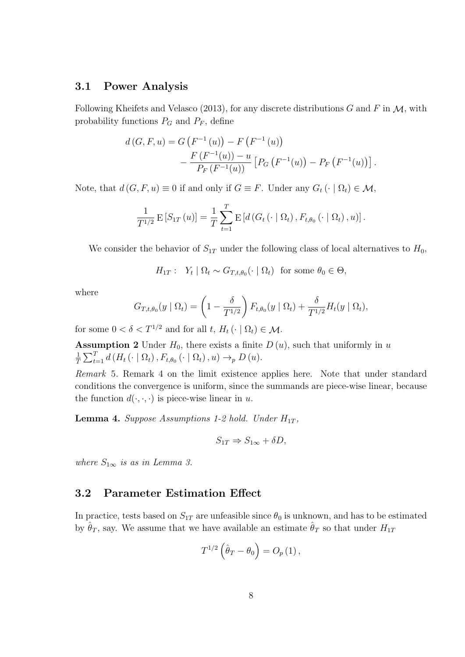#### 3.1 Power Analysis

Following Kheifets and Velasco (2013), for any discrete distributions G and F in  $\mathcal{M}$ , with probability functions  $P_G$  and  $P_F$ , define

$$
d(G, F, u) = G(F^{-1}(u)) - F(F^{-1}(u))
$$
  
- 
$$
\frac{F(F^{-1}(u)) - u}{P_F(F^{-1}(u))} [P_G(F^{-1}(u)) - P_F(F^{-1}(u))].
$$

Note, that  $d(G, F, u) \equiv 0$  if and only if  $G \equiv F$ . Under any  $G_t(\cdot | \Omega_t) \in \mathcal{M}$ ,

$$
\frac{1}{T^{1/2}} \mathbf{E}\left[S_{1T}\left(u\right)\right] = \frac{1}{T} \sum_{t=1}^{T} \mathbf{E}\left[d\left(G_t\left(\cdot \mid \Omega_t\right), F_{t,\theta_0}\left(\cdot \mid \Omega_t\right), u\right)\right].
$$

We consider the behavior of  $S_{1T}$  under the following class of local alternatives to  $H_0$ ,

$$
H_{1T}: Y_t | \Omega_t \sim G_{T,t,\theta_0}(\cdot | \Omega_t) \text{ for some } \theta_0 \in \Theta,
$$

where

$$
G_{T,t,\theta_0}(y \mid \Omega_t) = \left(1 - \frac{\delta}{T^{1/2}}\right) F_{t,\theta_0}(y \mid \Omega_t) + \frac{\delta}{T^{1/2}} H_t(y \mid \Omega_t),
$$

for some  $0 < \delta < T^{1/2}$  and for all  $t, H_t \left( \cdot \mid \Omega_t \right) \in \mathcal{M}$ .

**Assumption 2** Under  $H_0$ , there exists a finite  $D(u)$ , such that uniformly in u 1  $\frac{1}{T} \sum_{t=1}^{T} d(H_t(\cdot | \Omega_t), F_{t,\theta_0}(\cdot | \Omega_t), u) \rightarrow_{p} D(u).$ 

Remark 5. Remark 4 on the limit existence applies here. Note that under standard conditions the convergence is uniform, since the summands are piece-wise linear, because the function  $d(\cdot, \cdot, \cdot)$  is piece-wise linear in u.

**Lemma 4.** Suppose Assumptions 1-2 hold. Under  $H_{1T}$ ,

$$
S_{1T} \Rightarrow S_{1\infty} + \delta D,
$$

where  $S_{1\infty}$  is as in Lemma 3.

#### 3.2 Parameter Estimation Effect

In practice, tests based on  $S_{1T}$  are unfeasible since  $\theta_0$  is unknown, and has to be estimated by  $\hat{\theta}_T$ , say. We assume that we have available an estimate  $\hat{\theta}_T$  so that under  $H_{1T}$ 

$$
T^{1/2}(\hat{\theta}_T - \theta_0) = O_p(1),
$$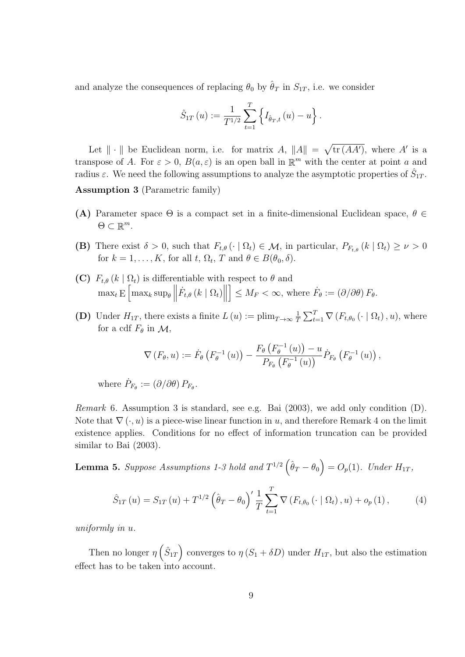and analyze the consequences of replacing  $\theta_0$  by  $\hat{\theta}_T$  in  $S_{1T}$ , i.e. we consider

$$
\hat{S}_{1T}(u) := \frac{1}{T^{1/2}} \sum_{t=1}^{T} \left\{ I_{\hat{\theta}_T,t}(u) - u \right\}.
$$

Let  $\|\cdot\|$  be Euclidean norm, i.e. for matrix A,  $\|A\| = \sqrt{\text{tr}(AA')}$ , where A' is a transpose of A. For  $\varepsilon > 0$ ,  $B(a, \varepsilon)$  is an open ball in  $\mathbb{R}^m$  with the center at point a and radius  $\varepsilon$ . We need the following assumptions to analyze the asymptotic properties of  $\hat{S}_{1T}$ .

Assumption 3 (Parametric family)

- (A) Parameter space  $\Theta$  is a compact set in a finite-dimensional Euclidean space,  $\theta \in$  $\Theta \subset \mathbb{R}^m$ .
- (B) There exist  $\delta > 0$ , such that  $F_{t,\theta}(\cdot | \Omega_t) \in \mathcal{M}$ , in particular,  $P_{F_{t,\theta}}(k | \Omega_t) \geq \nu > 0$ for  $k = 1, ..., K$ , for all  $t, \Omega_t, T$  and  $\theta \in B(\theta_0, \delta)$ .
- (C)  $F_{t,\theta}(k | \Omega_t)$  is differentiable with respect to  $\theta$  and  $\max_t E\left[\max_k \sup_{\theta} \Big\|\right]$  $\dot{F}_{t,\theta}\left(k\mid\Omega_{t}\right)\bigg\|$  $\left[ \begin{array}{l} 1 \le M_F < \infty, \text{ where } \dot{F}_\theta := (\partial/\partial \theta) F_\theta. \end{array} \right]$
- (D) Under  $H_{1T}$ , there exists a finite  $L(u) := \text{plim}_{T\to\infty} \frac{1}{T}$  $\frac{1}{T} \sum_{t=1}^{T} \nabla (F_{t,\theta_0} (\cdot \mid \Omega_t), u), \text{ where}$ for a cdf  $F_{\theta}$  in  $\mathcal{M}$ ,

$$
\nabla \left( F_{\theta}, u \right) := \dot{F}_{\theta} \left( F_{\theta}^{-1} \left( u \right) \right) - \frac{F_{\theta} \left( F_{\theta}^{-1} \left( u \right) \right) - u}{P_{F_{\theta}} \left( F_{\theta}^{-1} \left( u \right) \right)} \dot{P}_{F_{\theta}} \left( F_{\theta}^{-1} \left( u \right) \right),
$$

where  $\dot{P}_{F_{\theta}} := (\partial/\partial \theta) P_{F_{\theta}}$ .

Remark 6. Assumption 3 is standard, see e.g. Bai (2003), we add only condition (D). Note that  $\nabla(\cdot, u)$  is a piece-wise linear function in u, and therefore Remark 4 on the limit existence applies. Conditions for no effect of information truncation can be provided similar to Bai (2003).

**Lemma 5.** Suppose Assumptions 1-3 hold and  $T^{1/2}(\hat{\theta}_T - \theta_0) = O_p(1)$ . Under  $H_{1T}$ ,

$$
\hat{S}_{1T}(u) = S_{1T}(u) + T^{1/2} \left( \hat{\theta}_T - \theta_0 \right)' \frac{1}{T} \sum_{t=1}^T \nabla \left( F_{t,\theta_0} \left( \cdot \mid \Omega_t \right), u \right) + o_p(1), \tag{4}
$$

uniformly in u.

Then no longer  $\eta\left(\hat{S}_{1T}\right)$  converges to  $\eta\left(S_1+\delta D\right)$  under  $H_{1T}$ , but also the estimation effect has to be taken into account.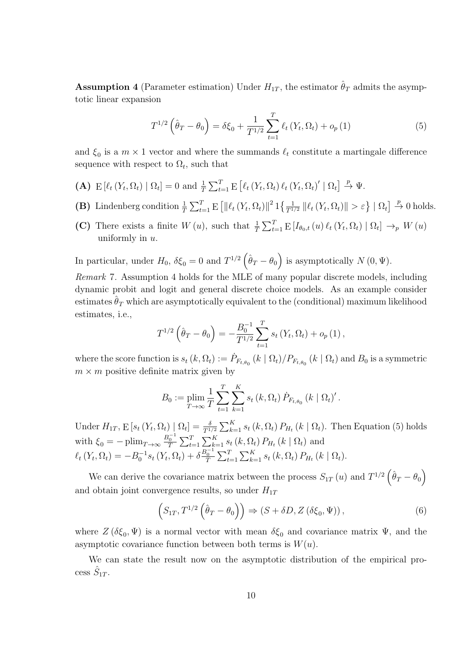**Assumption 4** (Parameter estimation) Under  $H_{1T}$ , the estimator  $\hat{\theta}_T$  admits the asymptotic linear expansion

$$
T^{1/2} \left( \hat{\theta}_T - \theta_0 \right) = \delta \xi_0 + \frac{1}{T^{1/2}} \sum_{t=1}^T \ell_t \left( Y_t, \Omega_t \right) + o_p \left( 1 \right) \tag{5}
$$

and  $\xi_0$  is a  $m \times 1$  vector and where the summands  $\ell_t$  constitute a martingale difference sequence with respect to  $\Omega_t$ , such that

- (A)  $E[\ell_t(Y_t, \Omega_t) | \Omega_t] = 0$  and  $\frac{1}{T} \sum_{t=1}^T E[\ell_t(Y_t, \Omega_t) \ell_t(Y_t, \Omega_t)' | \Omega_t] \stackrel{p}{\rightarrow} \Psi$ .
- (B) Lindenberg condition  $\frac{1}{T} \sum_{t=1}^T E\left[ \left\|\ell_t(Y_t, \Omega_t)\right\|^2 1 \left\{\frac{1}{T^{1/2}} \left\|\ell_t(Y_t, \Omega_t)\right\| > \varepsilon \right\} \mid \Omega_t \right] \stackrel{p}{\to} 0$  holds.
- (C) There exists a finite  $W(u)$ , such that  $\frac{1}{T} \sum_{t=1}^{T} E[I_{\theta_0,t}(u) \ell_t(Y_t, \Omega_t) | \Omega_t] \rightarrow_p W(u)$ uniformly in  $u$ .

In particular, under  $H_0$ ,  $\delta \xi_0 = 0$  and  $T^{1/2} (\hat{\theta}_T - \theta_0)$  is asymptotically  $N(0, \Psi)$ .

Remark 7. Assumption 4 holds for the MLE of many popular discrete models, including dynamic probit and logit and general discrete choice models. As an example consider estimates  $\hat{\theta}_T$  which are asymptotically equivalent to the (conditional) maximum likelihood estimates, i.e.,

$$
T^{1/2}(\hat{\theta}_T - \theta_0) = -\frac{B_0^{-1}}{T^{1/2}} \sum_{t=1}^T s_t(Y_t, \Omega_t) + o_p(1),
$$

where the score function is  $s_t(k, \Omega_t) := \dot{P}_{F_{t,\theta_0}}(k | \Omega_t) / P_{F_{t,\theta_0}}(k | \Omega_t)$  and  $B_0$  is a symmetric  $m \times m$  positive definite matrix given by

$$
B_0 := \plim_{T \to \infty} \frac{1}{T} \sum_{t=1}^{T} \sum_{k=1}^{K} s_t(k, \Omega_t) \dot{P}_{F_{t, \theta_0}} (k \mid \Omega_t)'.
$$

Under  $H_{1T}$ ,  $E\left[s_t\left(Y_t, \Omega_t\right) \mid \Omega_t\right] = \frac{\delta}{T^{1/2}} \sum_{k=1}^K s_t\left(k, \Omega_t\right) P_{H_t}\left(k \mid \Omega_t\right)$ . Then Equation (5) holds with  $\xi_0 = -\plim_{T\to\infty} \frac{B_0^{-1}}{T} \sum_{t=1}^T \sum_{k=1}^K s_t(k, \Omega_t) P_{H_t}(k | \Omega_t)$  and  $\ell_t(Y_t, \Omega_t) = -B_0^{-1} s_t(Y_t, \Omega_t) + \delta \frac{B_0^{-1}}{T} \sum_{t=1}^T \sum_{k=1}^K s_t(k, \Omega_t) P_{H_t}(k | \Omega_t).$ 

We can derive the covariance matrix between the process  $S_{1T}(u)$  and  $T^{1/2}(\hat{\theta}_T - \theta_0)$ and obtain joint convergence results, so under  $H_{1T}$ 

$$
(S_{1T}, T^{1/2}(\hat{\theta}_T - \theta_0)) \Rightarrow (S + \delta D, Z(\delta \xi_0, \Psi)), \qquad (6)
$$

where  $Z(\delta \xi_0, \Psi)$  is a normal vector with mean  $\delta \xi_0$  and covariance matrix  $\Psi$ , and the asymptotic covariance function between both terms is  $W(u)$ .

We can state the result now on the asymptotic distribution of the empirical process  $\hat{S}_{1T}$ .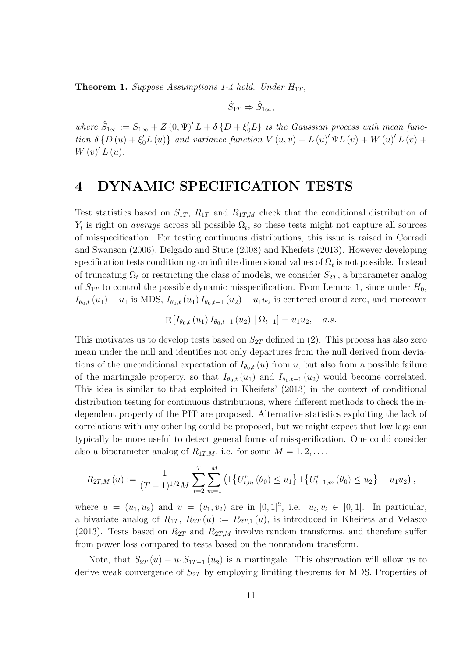**Theorem 1.** Suppose Assumptions 1-4 hold. Under  $H_{1T}$ ,

$$
\hat{S}_{1T} \Rightarrow \hat{S}_{1\infty},
$$

where  $\hat{S}_{1\infty} := S_{1\infty} + Z(0, \Psi)' L + \delta \{D + \xi'_0 L\}$  is the Gaussian process with mean function  $\delta \{D(u) + \xi'_0 L(u)\}\$  and variance function  $V(u, v) + L(u)' \Psi L(v) + W(u)' L(v) +$  $W(v)'L(u).$ 

### 4 DYNAMIC SPECIFICATION TESTS

Test statistics based on  $S_{1T}$ ,  $R_{1T}$  and  $R_{1T,M}$  check that the conditional distribution of  $Y_t$  is right on *average* across all possible  $\Omega_t$ , so these tests might not capture all sources of misspecification. For testing continuous distributions, this issue is raised in Corradi and Swanson (2006), Delgado and Stute (2008) and Kheifets (2013). However developing specification tests conditioning on infinite dimensional values of  $\Omega_t$  is not possible. Instead of truncating  $\Omega_t$  or restricting the class of models, we consider  $S_{2T}$ , a biparameter analog of  $S_{1T}$  to control the possible dynamic misspecification. From Lemma 1, since under  $H_0$ ,  $I_{\theta_0,t}(u_1) - u_1$  is MDS,  $I_{\theta_0,t}(u_1) I_{\theta_0,t-1}(u_2) - u_1u_2$  is centered around zero, and moreover

$$
E[I_{\theta_0,t}(u_1) I_{\theta_0,t-1}(u_2) | \Omega_{t-1}] = u_1 u_2, \quad a.s.
$$

This motivates us to develop tests based on  $S_{2T}$  defined in (2). This process has also zero mean under the null and identifies not only departures from the null derived from deviations of the unconditional expectation of  $I_{\theta_0,t}(u)$  from u, but also from a possible failure of the martingale property, so that  $I_{\theta_0,t} (u_1)$  and  $I_{\theta_0,t-1} (u_2)$  would become correlated. This idea is similar to that exploited in Kheifets' (2013) in the context of conditional distribution testing for continuous distributions, where different methods to check the independent property of the PIT are proposed. Alternative statistics exploiting the lack of correlations with any other lag could be proposed, but we might expect that low lags can typically be more useful to detect general forms of misspecification. One could consider also a biparameter analog of  $R_{1T,M}$ , i.e. for some  $M = 1, 2, \ldots$ ,

$$
R_{2T,M}(u) := \frac{1}{(T-1)^{1/2}M} \sum_{t=2}^{T} \sum_{m=1}^{M} \left( 1 \{ U_{t,m}^r(\theta_0) \le u_1 \} \, 1 \{ U_{t-1,m}^r(\theta_0) \le u_2 \} - u_1 u_2 \right),
$$

where  $u = (u_1, u_2)$  and  $v = (v_1, v_2)$  are in  $[0, 1]^2$ , i.e.  $u_i, v_i \in [0, 1]$ . In particular, a bivariate analog of  $R_{1T}$ ,  $R_{2T}(u) := R_{2T,1}(u)$ , is introduced in Kheifets and Velasco (2013). Tests based on  $R_{2T}$  and  $R_{2T,M}$  involve random transforms, and therefore suffer from power loss compared to tests based on the nonrandom transform.

Note, that  $S_{2T}(u) - u_1 S_{1T-1}(u_2)$  is a martingale. This observation will allow us to derive weak convergence of  $S_{2T}$  by employing limiting theorems for MDS. Properties of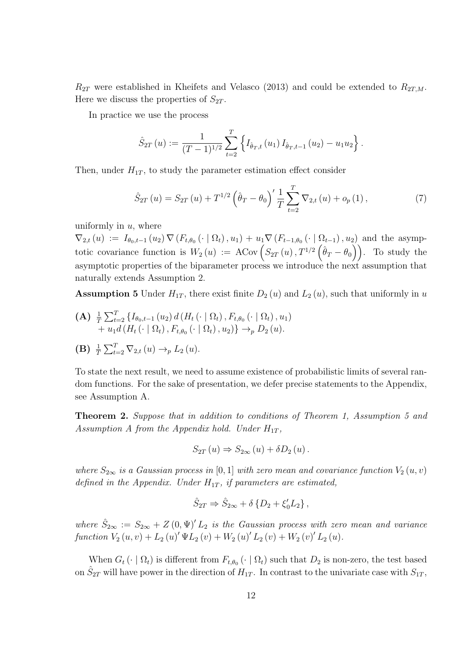$R_{2T}$  were established in Kheifets and Velasco (2013) and could be extended to  $R_{2T,M}$ . Here we discuss the properties of  $S_{2T}$ .

In practice we use the process

$$
\hat{S}_{2T}(u) := \frac{1}{(T-1)^{1/2}} \sum_{t=2}^{T} \left\{ I_{\hat{\theta}_T,t}(u_1) I_{\hat{\theta}_T,t-1}(u_2) - u_1 u_2 \right\}.
$$

Then, under  $H_{1T}$ , to study the parameter estimation effect consider

$$
\hat{S}_{2T}(u) = S_{2T}(u) + T^{1/2} \left( \hat{\theta}_T - \theta_0 \right)' \frac{1}{T} \sum_{t=2}^T \nabla_{2,t}(u) + o_p(1), \tag{7}
$$

uniformly in  $u$ , where

 $\nabla_{2,t}(u) := I_{\theta_0,t-1}(u_2) \nabla (F_{t,\theta_0}(\cdot | \Omega_t), u_1) + u_1 \nabla (F_{t-1,\theta_0}(\cdot | \Omega_{t-1}), u_2)$  and the asymptotic covariance function is  $W_2(u) := A \text{Cov} \left( S_{2T}(u) , T^{1/2} \left( \hat{\theta}_T - \theta_0 \right) \right)$ . To study the asymptotic properties of the biparameter process we introduce the next assumption that naturally extends Assumption 2.

**Assumption 5** Under  $H_{1T}$ , there exist finite  $D_2(u)$  and  $L_2(u)$ , such that uniformly in u

- (A)  $\frac{1}{T} \sum_{t=2}^{T} \{I_{\theta_0,t-1}(u_2) d(H_t(\cdot | \Omega_t), F_{t,\theta_0}(\cdot | \Omega_t), u_1)$  $+ u_1 d (H_t (\cdot | \Omega_t), F_{t, \theta_0} (\cdot | \Omega_t), u_2) \rightarrow_p D_2(u).$
- **(B)**  $\frac{1}{T} \sum_{t=2}^{T} \nabla_{2,t} (u) \rightarrow_{p} L_2 (u)$ .

To state the next result, we need to assume existence of probabilistic limits of several random functions. For the sake of presentation, we defer precise statements to the Appendix, see Assumption A.

Theorem 2. Suppose that in addition to conditions of Theorem 1, Assumption 5 and Assumption A from the Appendix hold. Under  $H_{1T}$ ,

$$
S_{2T}(u) \Rightarrow S_{2\infty}(u) + \delta D_2(u).
$$

where  $S_{2\infty}$  is a Gaussian process in [0, 1] with zero mean and covariance function  $V_2(u, v)$ defined in the Appendix. Under  $H_{1T}$ , if parameters are estimated,

$$
\hat{S}_{2T} \Rightarrow \hat{S}_{2\infty} + \delta \{ D_2 + \xi'_0 L_2 \},
$$

where  $\hat{S}_{2\infty} := S_{2\infty} + Z(0, \Psi)' L_2$  is the Gaussian process with zero mean and variance function  $V_2(u, v) + L_2(u)' \Psi L_2(v) + W_2(u)' L_2(v) + W_2(v)' L_2(u)$ .

When  $G_t(\cdot | \Omega_t)$  is different from  $F_{t,\theta_0}(\cdot | \Omega_t)$  such that  $D_2$  is non-zero, the test based on  $\hat{S}_{2T}$  will have power in the direction of  $H_{1T}$ . In contrast to the univariate case with  $S_{1T}$ ,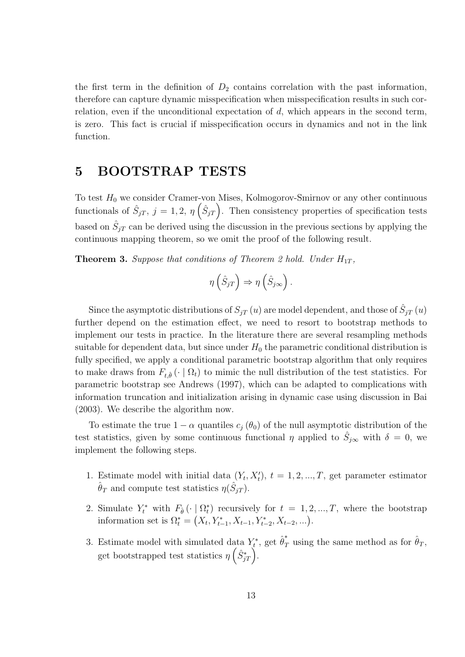the first term in the definition of  $D_2$  contains correlation with the past information, therefore can capture dynamic misspecification when misspecification results in such correlation, even if the unconditional expectation of  $d$ , which appears in the second term, is zero. This fact is crucial if misspecification occurs in dynamics and not in the link function.

# 5 BOOTSTRAP TESTS

To test  $H_0$  we consider Cramer-von Mises, Kolmogorov-Smirnov or any other continuous functionals of  $\hat{S}_{jT}, j = 1, 2, \eta\left(\hat{S}_{jT}\right)$ . Then consistency properties of specification tests based on  $\hat{S}_{jT}$  can be derived using the discussion in the previous sections by applying the continuous mapping theorem, so we omit the proof of the following result.

**Theorem 3.** Suppose that conditions of Theorem 2 hold. Under  $H_{1T}$ ,

$$
\eta\left(\hat{S}_{jT}\right) \Rightarrow \eta\left(\hat{S}_{j\infty}\right).
$$

Since the asymptotic distributions of  $S_{jT}(u)$  are model dependent, and those of  $\hat{S}_{jT}(u)$ further depend on the estimation effect, we need to resort to bootstrap methods to implement our tests in practice. In the literature there are several resampling methods suitable for dependent data, but since under  $H_0$  the parametric conditional distribution is fully specified, we apply a conditional parametric bootstrap algorithm that only requires to make draws from  $F_{t,\hat{\theta}}(\cdot | \Omega_t)$  to mimic the null distribution of the test statistics. For parametric bootstrap see Andrews (1997), which can be adapted to complications with information truncation and initialization arising in dynamic case using discussion in Bai (2003). We describe the algorithm now.

To estimate the true  $1 - \alpha$  quantiles  $c_i (\theta_0)$  of the null asymptotic distribution of the test statistics, given by some continuous functional  $\eta$  applied to  $\hat{S}_{j\infty}$  with  $\delta = 0$ , we implement the following steps.

- 1. Estimate model with initial data  $(Y_t, X'_t)$ ,  $t = 1, 2, ..., T$ , get parameter estimator  $\hat{\theta}_T$  and compute test statistics  $\eta(\hat{S}_{jT})$ .
- 2. Simulate  $Y_t^*$  with  $F_{\hat{\theta}}(\cdot | \Omega_t^*)$  recursively for  $t = 1, 2, ..., T$ , where the bootstrap information set is  $\Omega_t^* = (X_t, Y_{t-1}^*, X_{t-1}, Y_{t-2}^*, X_{t-2}, \ldots).$
- 3. Estimate model with simulated data  $Y_t^*$ , get  $\hat{\theta}_T^*$  using the same method as for  $\hat{\theta}_T$ , get bootstrapped test statistics  $\eta\left(\hat{S}_{jT}^*\right)$ .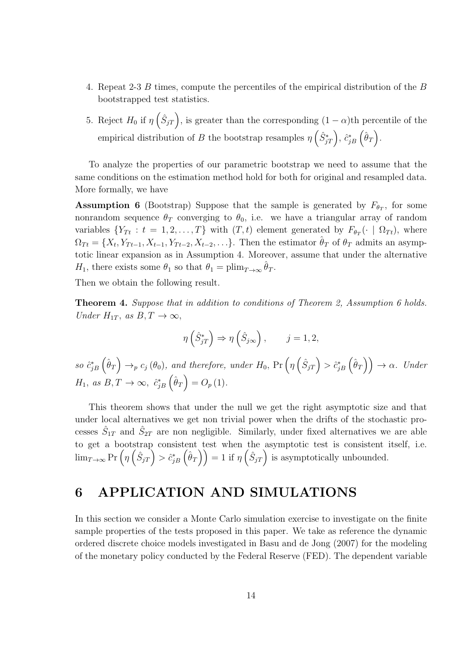- 4. Repeat 2-3 B times, compute the percentiles of the empirical distribution of the B bootstrapped test statistics.
- 5. Reject  $H_0$  if  $\eta\left(\hat{S}_{jT}\right)$ , is greater than the corresponding  $(1-\alpha)$ th percentile of the empirical distribution of B the bootstrap resamples  $\eta\left(\hat{S}_{jT}^*\right)$ ,  $\hat{c}_{jB}^*\left(\hat{\theta}_T\right)$ .

To analyze the properties of our parametric bootstrap we need to assume that the same conditions on the estimation method hold for both for original and resampled data. More formally, we have

**Assumption 6** (Bootstrap) Suppose that the sample is generated by  $F_{\theta_T}$ , for some nonrandom sequence  $\theta_T$  converging to  $\theta_0$ , i.e. we have a triangular array of random variables  $\{Y_{Tt}: t = 1, 2, ..., T\}$  with  $(T, t)$  element generated by  $F_{\theta_T}(\cdot \mid \Omega_{Tt})$ , where  $\Omega_{Tt} = \{X_t, Y_{Tt-1}, X_{t-1}, Y_{Tt-2}, X_{t-2}, \ldots\}$ . Then the estimator  $\hat{\theta}_T$  of  $\theta_T$  admits an asymptotic linear expansion as in Assumption 4. Moreover, assume that under the alternative  $H_1$ , there exists some  $\theta_1$  so that  $\theta_1 = \text{plim}_{T \to \infty} \hat{\theta}_T$ .

Then we obtain the following result.

Theorem 4. Suppose that in addition to conditions of Theorem 2, Assumption 6 holds. Under  $H_{1T}$ , as  $B, T \rightarrow \infty$ ,

$$
\eta\left(\hat{S}_{jT}^*\right) \Rightarrow \eta\left(\hat{S}_{j\infty}\right), \qquad j = 1, 2,
$$

so  $\hat{c}_{jB}^*\left(\hat{\theta}_T\right) \rightarrow_p c_j(\theta_0)$ , and therefore, under  $H_0$ ,  $Pr\left(\eta\left(\hat{S}_{jT}\right) > \hat{c}_{jB}^*\left(\hat{\theta}_T\right)\right) \rightarrow \alpha$ . Under  $H_1$ , as  $B,T \to \infty$ ,  $\hat{c}_{jB}^* \left(\hat{\theta}_T\right) = O_p(1)$ .

This theorem shows that under the null we get the right asymptotic size and that under local alternatives we get non trivial power when the drifts of the stochastic processes  $\hat{S}_{1T}$  and  $\hat{S}_{2T}$  are non negligible. Similarly, under fixed alternatives we are able to get a bootstrap consistent test when the asymptotic test is consistent itself, i.e.  $\lim_{T\to\infty}\Pr\left(\eta\left(\hat{S}_{jT}\right)>\hat{c}^*_{jB}\left(\hat{\theta}_T\right)\right)=1\,\,\text{if}\,\,\eta\left(\hat{S}_{jT}\right)$  is asymptotically unbounded.

# 6 APPLICATION AND SIMULATIONS

In this section we consider a Monte Carlo simulation exercise to investigate on the finite sample properties of the tests proposed in this paper. We take as reference the dynamic ordered discrete choice models investigated in Basu and de Jong (2007) for the modeling of the monetary policy conducted by the Federal Reserve (FED). The dependent variable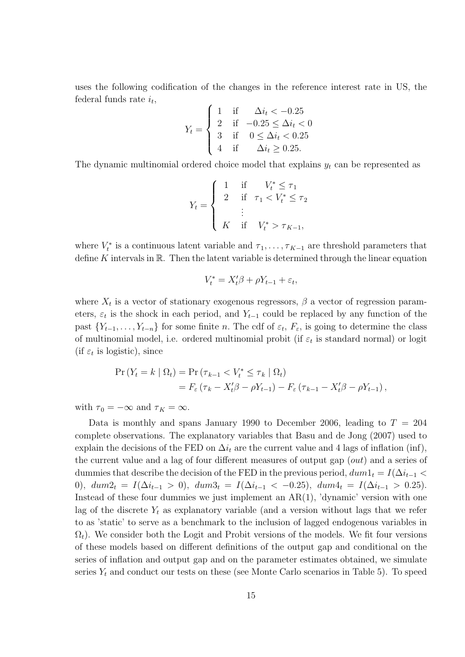uses the following codification of the changes in the reference interest rate in US, the federal funds rate  $i_t$ ,  $\overline{ }$ 

$$
Y_{t} = \begin{cases} 1 & \text{if } \Delta i_{t} < -0.25 \\ 2 & \text{if } -0.25 \leq \Delta i_{t} < 0 \\ 3 & \text{if } 0 \leq \Delta i_{t} < 0.25 \\ 4 & \text{if } \Delta i_{t} \geq 0.25. \end{cases}
$$

The dynamic multinomial ordered choice model that explains  $y_t$  can be represented as

$$
Y_{t} = \begin{cases} 1 & \text{if } & V_{t}^{*} \leq \tau_{1} \\ 2 & \text{if } & \tau_{1} < V_{t}^{*} \leq \tau_{2} \\ & \vdots & \\ & K & \text{if } & V_{t}^{*} > \tau_{K-1}, \end{cases}
$$

where  $V_t^*$  is a continuous latent variable and  $\tau_1, \ldots, \tau_{K-1}$  are threshold parameters that define K intervals in  $\mathbb R$ . Then the latent variable is determined through the linear equation

$$
V_t^* = X_t'\beta + \rho Y_{t-1} + \varepsilon_t,
$$

where  $X_t$  is a vector of stationary exogenous regressors,  $\beta$  a vector of regression parameters,  $\varepsilon_t$  is the shock in each period, and  $Y_{t-1}$  could be replaced by any function of the past  $\{Y_{t-1}, \ldots, Y_{t-n}\}\$  for some finite n. The cdf of  $\varepsilon_t$ ,  $F_{\varepsilon}$ , is going to determine the class of multinomial model, i.e. ordered multinomial probit (if  $\varepsilon_t$  is standard normal) or logit (if  $\varepsilon_t$  is logistic), since

$$
\Pr(Y_t = k \mid \Omega_t) = \Pr(\tau_{k-1} < V_t^* \leq \tau_k \mid \Omega_t) \\
= F_{\varepsilon}(\tau_k - X_t'\beta - \rho Y_{t-1}) - F_{\varepsilon}(\tau_{k-1} - X_t'\beta - \rho Y_{t-1}),
$$

with  $\tau_0 = -\infty$  and  $\tau_K = \infty$ .

Data is monthly and spans January 1990 to December 2006, leading to  $T = 204$ complete observations. The explanatory variables that Basu and de Jong (2007) used to explain the decisions of the FED on  $\Delta i_t$  are the current value and 4 lags of inflation (inf), the current value and a lag of four different measures of output gap (out) and a series of dummies that describe the decision of the FED in the previous period,  $dum_1 = I(\Delta i_{t-1}$ 0),  $dum2_t = I(\Delta i_{t-1} > 0)$ ,  $dum3_t = I(\Delta i_{t-1} < -0.25)$ ,  $dum4_t = I(\Delta i_{t-1} > 0.25)$ . Instead of these four dummies we just implement an  $AR(1)$ , 'dynamic' version with one lag of the discrete  $Y_t$  as explanatory variable (and a version without lags that we refer to as 'static' to serve as a benchmark to the inclusion of lagged endogenous variables in  $\Omega_t$ ). We consider both the Logit and Probit versions of the models. We fit four versions of these models based on different definitions of the output gap and conditional on the series of inflation and output gap and on the parameter estimates obtained, we simulate series  $Y_t$  and conduct our tests on these (see Monte Carlo scenarios in Table 5). To speed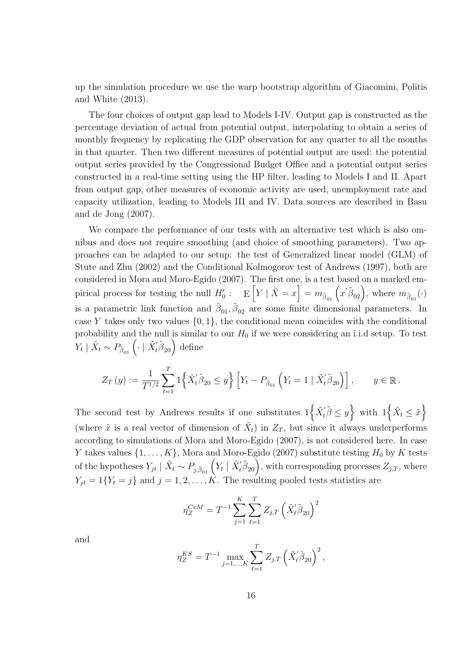up the simulation procedure we use the warp bootstrap algorithm of Giacomini, Politis and White (2013).

The four choices of output gap lead to Models I-IV. Output gap is constructed as the percentage deviation of actual from potential output, interpolating to obtain a series of monthly frequency by replicating the GDP observation for any quarter to all the months in that quarter. Then two different measures of potential output are used: the potential output series provided by the Congressional Budget Office and a potential output series constructed in a real-time setting using the HP filter, leading to Models I and II. Apart from output gap, other measures of economic activity are used, unemployment rate and capacity utilization, leading to Models III and IV. Data sources are described in Basu and de Jong (2007).

We compare the performance of our tests with an alternative test which is also omnibus and does not require smoothing (and choice of smoothing parameters). Two approaches can be adapted to our setup: the test of Generalized linear model (GLM) of Stute and Zhu (2002) and the Conditional Kolmogorov test of Andrews (1997), both are considered in Mora and Moro-Egido (2007). The first one, is a test based on a marked empirical process for testing the null  $H_0'$ :  $E\left[Y \mid \tilde{X} = x\right] = m_{\tilde{\beta}_{01}}\left(x'\tilde{\beta}_{02}\right)$ , where  $m_{\tilde{\beta}_{01}}(\cdot)$ is a parametric link function and  $\tilde{\beta}_{01}, \tilde{\beta}_{02}$  are some finite dimensional parameters. In case Y takes only two values  $\{0, 1\}$ , the conditional mean coincides with the conditional probability and the null is similar to our  $H_0$  if we were considering an i.i.d setup. To test  $Y_t \mid \tilde{X}_t \sim P_{\tilde{\beta}_{01}} \left( \cdot \mid \tilde{X}_t' \tilde{\beta}_{20} \right)$  define

$$
Z_T(y) := \frac{1}{T^{1/2}} \sum_{t=1}^T \left\{ \tilde{X}_t' \tilde{\beta}_{20} \le y \right\} \left[ Y_t - P_{\tilde{\beta}_{01}} \left( Y_t = 1 \mid \tilde{X}_t' \tilde{\beta}_{20} \right) \right], \qquad y \in \mathbb{R}.
$$

The second test by Andrews results if one substitutes  $1\left\{\tilde{X}'_t\tilde{\beta}\leq y\right\}$  with  $1\left\{\tilde{X}_t\leq \tilde{x}\right\}$ (where  $\tilde{x}$  is a real vector of dimension of  $\tilde{X}_t$ ) in  $Z_T$ , but since it always underperforms according to simulations of Mora and Moro-Egido (2007), is not considered here. In case Y takes values  $\{1, \ldots, K\}$ , Mora and Moro-Egido (2007) substitute testing  $H_0$  by K tests of the hypotheses  $Y_{jt} \mid \tilde{X}_t \sim P_{j, \tilde{\beta}_{01}} \left( Y_t \mid \tilde{X}_t' \tilde{\beta}_{20} \right)$ , with corresponding processes  $Z_{j,T}$ , where  $Y_{jt} = 1\{Y_t = j\}$  and  $j = 1, 2, \ldots, K$ . The resulting pooled tests statistics are

$$
\eta_{Z}^{CvM} = T^{-1} \sum_{j=1}^{K} \sum_{\ell=1}^{T} Z_{j,T} \left( \tilde{X}_{\ell}^{\prime} \tilde{\beta}_{20} \right)^{2}
$$

and

$$
\eta_Z^{KS} = T^{-1} \max_{j=1,\dots,K} \sum_{\ell=1}^T Z_{j,T} \left( \tilde{X}'_{\ell} \tilde{\beta}_{20} \right)^2,
$$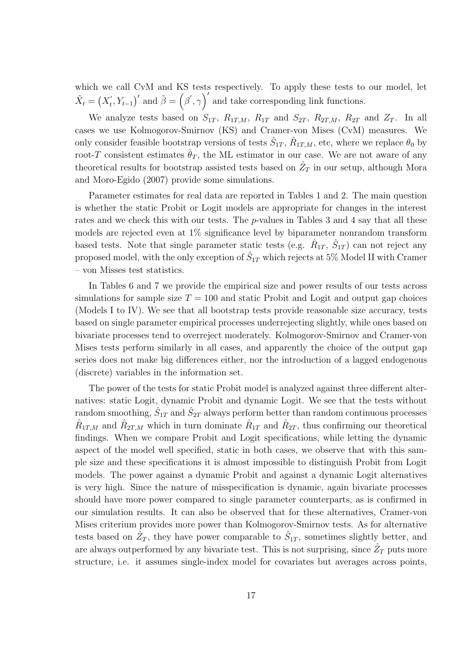which we call CvM and KS tests respectively. To apply these tests to our model, let  $\tilde{X}_t = \left( X_t' \right)$  $(\vec{r}, Y_{t-1})'$  and  $\tilde{\beta} = (\beta', \gamma)'$  and take corresponding link functions.

We analyze tests based on  $S_{1T}$ ,  $R_{1T,M}$ ,  $R_{1T}$  and  $S_{2T}$ ,  $R_{2T,M}$ ,  $R_{2T}$  and  $Z_T$ . In all cases we use Kolmogorov-Smirnov (KS) and Cramer-von Mises (CvM) measures. We only consider feasible bootstrap versions of tests  $\hat{S}_{1T}$ ,  $\hat{R}_{1T,M}$ , etc, where we replace  $\theta_0$  by root-T consistent estimates  $\hat{\theta}_T$ , the ML estimator in our case. We are not aware of any theoretical results for bootstrap assisted tests based on  $\hat{Z}_T$  in our setup, although Mora and Moro-Egido (2007) provide some simulations.

Parameter estimates for real data are reported in Tables 1 and 2. The main question is whether the static Probit or Logit models are appropriate for changes in the interest rates and we check this with our tests. The *p*-values in Tables 3 and 4 say that all these models are rejected even at 1% significance level by biparameter nonrandom transform based tests. Note that single parameter static tests (e.g.  $\hat{R}_{1T}$ ,  $\hat{S}_{1T}$ ) can not reject any proposed model, with the only exception of  $\hat{S}_{1T}$  which rejects at 5% Model II with Cramer – von Misses test statistics.

In Tables 6 and 7 we provide the empirical size and power results of our tests across simulations for sample size  $T = 100$  and static Probit and Logit and output gap choices (Models I to IV). We see that all bootstrap tests provide reasonable size accuracy, tests based on single parameter empirical processes underrejecting slightly, while ones based on bivariate processes tend to overreject moderately. Kolmogorov-Smirnov and Cramer-von Mises tests perform similarly in all cases, and apparently the choice of the output gap series does not make big differences either, nor the introduction of a lagged endogenous (discrete) variables in the information set.

The power of the tests for static Probit model is analyzed against three different alternatives: static Logit, dynamic Probit and dynamic Logit. We see that the tests without random smoothing,  $\hat{S}_{1T}$  and  $\hat{S}_{2T}$  always perform better than random continuous processes  $\hat{R}_{1T,M}$  and  $\hat{R}_{2T,M}$  which in turn dominate  $\hat{R}_{1T}$  and  $\hat{R}_{2T}$ , thus confirming our theoretical findings. When we compare Probit and Logit specifications, while letting the dynamic aspect of the model well specified, static in both cases, we observe that with this sample size and these specifications it is almost impossible to distinguish Probit from Logit models. The power against a dynamic Probit and against a dynamic Logit alternatives is very high. Since the nature of misspecification is dynamic, again bivariate processes should have more power compared to single parameter counterparts, as is confirmed in our simulation results. It can also be observed that for these alternatives, Cramer-von Mises criterium provides more power than Kolmogorov-Smirnov tests. As for alternative tests based on  $\hat{Z}_T$ , they have power comparable to  $\hat{S}_{1T}$ , sometimes slightly better, and are always outperformed by any bivariate test. This is not surprising, since  $\hat{Z}_T$  puts more structure, i.e. it assumes single-index model for covariates but averages across points,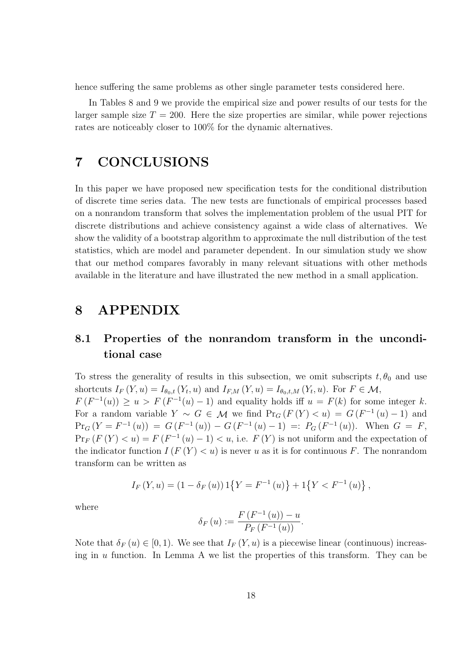hence suffering the same problems as other single parameter tests considered here.

In Tables 8 and 9 we provide the empirical size and power results of our tests for the larger sample size  $T = 200$ . Here the size properties are similar, while power rejections rates are noticeably closer to 100% for the dynamic alternatives.

# 7 CONCLUSIONS

In this paper we have proposed new specification tests for the conditional distribution of discrete time series data. The new tests are functionals of empirical processes based on a nonrandom transform that solves the implementation problem of the usual PIT for discrete distributions and achieve consistency against a wide class of alternatives. We show the validity of a bootstrap algorithm to approximate the null distribution of the test statistics, which are model and parameter dependent. In our simulation study we show that our method compares favorably in many relevant situations with other methods available in the literature and have illustrated the new method in a small application.

## 8 APPENDIX

### 8.1 Properties of the nonrandom transform in the unconditional case

To stress the generality of results in this subsection, we omit subscripts  $t, \theta_0$  and use shortcuts  $I_F(Y, u) = I_{\theta_0, t}(Y_t, u)$  and  $I_{F,M}(Y, u) = I_{\theta_0, t,M}(Y_t, u)$ . For  $F \in \mathcal{M}$ ,  $F(F^{-1}(u)) \geq u > F(F^{-1}(u) - 1)$  and equality holds iff  $u = F(k)$  for some integer k. For a random variable  $Y \sim G \in \mathcal{M}$  we find  $Pr_G(F(Y) < u) = G(F^{-1}(u) - 1)$  and  $Pr_G(Y = F^{-1}(u)) = G(F^{-1}(u)) - G(F^{-1}(u) - 1) =: P_G(F^{-1}(u)).$  When  $G = F$ ,  $Pr_F(F(Y) < u) = F(F^{-1}(u) - 1) < u$ , i.e.  $F(Y)$  is not uniform and the expectation of the indicator function  $I(F(Y) < u)$  is never u as it is for continuous F. The nonrandom transform can be written as

$$
I_F(Y, u) = (1 - \delta_F(u)) 1\{Y = F^{-1}(u)\} + 1\{Y < F^{-1}(u)\},
$$

where

$$
\delta_F(u) := \frac{F(F^{-1}(u)) - u}{P_F(F^{-1}(u))}.
$$

Note that  $\delta_F(u) \in [0,1)$ . We see that  $I_F(Y, u)$  is a piecewise linear (continuous) increasing in u function. In Lemma A we list the properties of this transform. They can be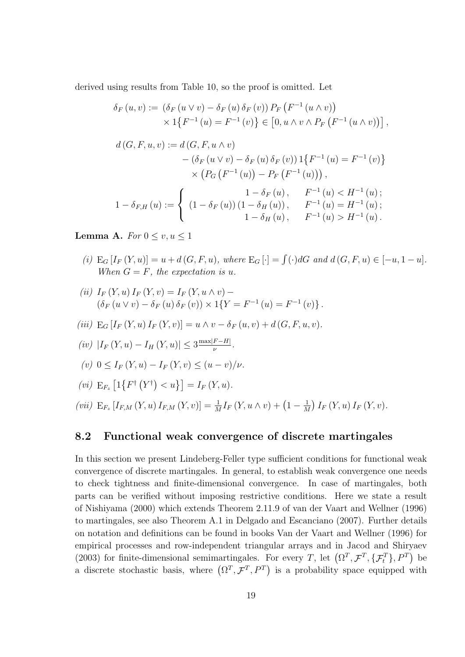derived using results from Table 10, so the proof is omitted. Let

$$
\delta_F(u, v) := (\delta_F(u \vee v) - \delta_F(u) \delta_F(v)) P_F(F^{-1}(u \wedge v))
$$
  
\n
$$
\times 1\{F^{-1}(u) = F^{-1}(v)\} \in [0, u \wedge v \wedge P_F(F^{-1}(u \wedge v))],
$$
  
\n
$$
d(G, F, u, v) := d(G, F, u \wedge v)
$$
  
\n
$$
- (\delta_F(u \vee v) - \delta_F(u) \delta_F(v)) 1\{F^{-1}(u) = F^{-1}(v)\}
$$
  
\n
$$
\times (P_G(F^{-1}(u)) - P_F(F^{-1}(u))),
$$
  
\n
$$
1 - \delta_{F,H}(u) := \begin{cases} 1 - \delta_F(u), & F^{-1}(u) < H^{-1}(u); \\ (1 - \delta_F(u))(1 - \delta_H(u)), & F^{-1}(u) = H^{-1}(u); \\ 1 - \delta_H(u), & F^{-1}(u) > H^{-1}(u). \end{cases}
$$

Lemma A. For  $0 \leq v, u \leq 1$ 

- (i)  $E_G[I_F(Y, u)] = u + d(G, F, u)$ , where  $E_G[\cdot] = \int (\cdot) dG$  and  $d(G, F, u) \in [-u, 1 u]$ . When  $G = F$ , the expectation is u.
- (ii)  $I_F(Y, u) I_F(Y, v) = I_F(Y, u \wedge v) (\delta_F (u \vee v) - \delta_F (u) \delta_F (v)) \times 1\{Y = F^{-1} (u) = F^{-1} (v)\}.$
- (iii)  $E_G[I_F(Y, u) I_F(Y, v)] = u \wedge v \delta_F(u, v) + d(G, F, u, v).$
- $(iv)$   $|I_F(Y, u) I_H(Y, u)| \leq 3 \frac{\max|F H|}{\nu}$  $\frac{F-H\vert}{\nu}$ .
- (v)  $0 \leq I_F(Y, u) I_F(Y, v) \leq (u v)/v$ .
- (*vi*)  $E_{F_z} [1\{F^{\dagger}(Y^{\dagger}) < u\}] = I_F(Y, u).$
- (vii)  $E_{F_z}[I_{F,M}(Y,u) I_{F,M}(Y,v)] = \frac{1}{M}I_F(Y,u \wedge v) + (1 \frac{1}{M})$  $\frac{1}{M}$  )  $I_F(Y, u) I_F(Y, v)$ .

#### 8.2 Functional weak convergence of discrete martingales

In this section we present Lindeberg-Feller type sufficient conditions for functional weak convergence of discrete martingales. In general, to establish weak convergence one needs to check tightness and finite-dimensional convergence. In case of martingales, both parts can be verified without imposing restrictive conditions. Here we state a result of Nishiyama (2000) which extends Theorem 2.11.9 of van der Vaart and Wellner (1996) to martingales, see also Theorem A.1 in Delgado and Escanciano (2007). Further details on notation and definitions can be found in books Van der Vaart and Wellner (1996) for empirical processes and row-independent triangular arrays and in Jacod and Shiryaev (2003) for finite-dimensional semimartingales. For every T, let  $(\Omega^T, \mathcal{F}^T, \{\mathcal{F}_t^T\}, P^T)$  be a discrete stochastic basis, where  $(\Omega^T, \mathcal{F}^T, P^T)$  is a probability space equipped with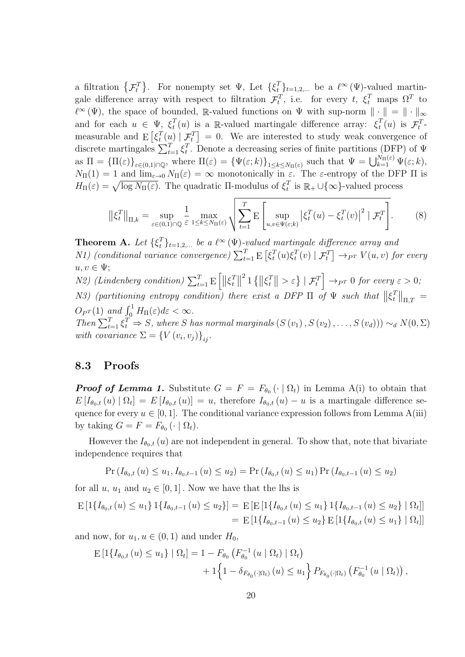a filtration  $\{\mathcal{F}_t^T\}$ . For nonempty set  $\Psi$ , Let  $\{\xi_t^T\}_{t=1,2,...}$  be a  $\ell^{\infty}(\Psi)$ -valued martingale difference array with respect to filtration  $\mathcal{F}_t^T$ , i.e. for every  $t$ ,  $\xi_t^T$  maps  $\Omega^T$  to  $\ell^{\infty}(\Psi)$ , the space of bounded, R-valued functions on  $\Psi$  with sup-norm  $\|\cdot\| = \|\cdot\|_{\infty}$ and for each  $u \in \Psi$ ,  $\xi_t^T$  $_t^T(u)$  is a R-valued martingale difference array:  $\xi_t^T$  $t^T(u)$  is  $\mathcal{F}_t^T$ measurable and  $E\left[\xi_t^T\right]$  $_t^T(u) | \mathcal{F}_t^T$  = 0. We are interested to study weak convergence of discrete martingales  $\sum_{t=1}^{T} \xi_t^T$ <sup>T</sup>. Denote a decreasing series of finite partitions (DFP) of  $\Psi$ as  $\Pi = {\Pi(\varepsilon)}_{\varepsilon \in (0,1) \cap \mathbb{Q}}$ , where  $\Pi(\varepsilon) = {\Psi(\varepsilon; k)}_{1 \leq k \leq N_{\Pi}(\varepsilon)}$  such that  $\Psi = \bigcup_{k=1}^{N_{\Pi}(\varepsilon)} \Psi(\varepsilon; k)$ ,  $N_{\Pi}(1) = 1$  and  $\lim_{\varepsilon \to 0} N_{\Pi}(\varepsilon) = \infty$  monotonically in  $\varepsilon$ . The  $\varepsilon$ -entropy of the DFP  $\Pi$  is  $H_{\Pi}(\varepsilon) = \sqrt{\log N_{\Pi}(\varepsilon)}$ . The quadratic II-modulus of  $\xi_t^T$  $_t^T$  is  $\mathbb{R}_+ \cup \{\infty\}$ -valued process

$$
\left\| \xi_t^T \right\|_{\Pi,k} = \sup_{\varepsilon \in (0,1) \cap \mathbb{Q}} \frac{1}{\varepsilon} \max_{1 \le k \le N_{\Pi}(\varepsilon)} \sqrt{\sum_{t=1}^T \mathbb{E} \left[ \sup_{u,v \in \Psi(\varepsilon;k)} \left| \xi_t^T(u) - \xi_t^T(v) \right|^2 \mid \mathcal{F}_t^T \right]}.
$$
 (8)

**Theorem A.** Let  $\{\xi_t^T\}_{t=1,2,...}$  be a  $\ell^{\infty}(\Psi)$ -valued martingale difference array and *N1*) (conditional variance convergence)  $\sum_{t=1}^{T} \mathrm{E} \left[ \xi_t^T \right]$  $_{t}^{T}(u)\xi_{t}^{T}$  $\mathcal{F}_t^T(v) \mid \mathcal{F}_t^T \big] \rightarrow_{P^T} V(u, v)$  for every  $u, v \in \Psi;$  $N2)$  (Lindenberg condition)  $\sum_{t=1}^{T} E\left[\|\xi_t^T\right]$  $T||$ <sup>2</sup> 1  $\{\|\xi_t^T\}$  $\left\{ \left. \begin{array}{c} T \\ \end{array} \right| > \varepsilon \right\} \mid \mathcal{F}_t^T \right] \rightarrow_{P^T} 0 \; \textit{for every} \; \varepsilon > 0;$ N3) (partitioning entropy condition) there exist a DFP  $\Pi$  of  $\Psi$  such that  $\|\xi_t^T\|$  $\left\| \frac{T}{\Pi, T} \right\|_{\Pi, T} =$  $O_{P^T}(1)$  and  $\int_0^1 H_{\Pi}(\varepsilon)d\varepsilon < \infty$ . Then  $\sum_{t=1}^{T} \xi_t^T \Rightarrow S$ , where S has normal marginals  $(S(v_1), S(v_2), \ldots, S(v_d))) \sim_d N(0, \Sigma)$ with covariance  $\Sigma = \left\{ V \left( v_i, v_j \right) \right\}_{ij}$ .

### 8.3 Proofs

**Proof of Lemma 1.** Substitute  $G = F = F_{\theta_0}(\cdot | \Omega_t)$  in Lemma A(i) to obtain that  $E[I_{\theta_0,t}(u) | \Omega_t] = E[I_{\theta_0,t}(u)] = u$ , therefore  $I_{\theta_0,t}(u) - u$  is a martingale difference sequence for every  $u \in [0, 1]$ . The conditional variance expression follows from Lemma A(iii) by taking  $G = F = F_{\theta_0} (\cdot \mid \Omega_t).$ 

However the  $I_{\theta_0,t}(u)$  are not independent in general. To show that, note that bivariate independence requires that

$$
\Pr(I_{\theta_0,t}(u) \le u_1, I_{\theta_0,t-1}(u) \le u_2) = \Pr(I_{\theta_0,t}(u) \le u_1) \Pr(I_{\theta_0,t-1}(u) \le u_2)
$$

for all u,  $u_1$  and  $u_2 \in [0, 1]$ . Now we have that the lhs is

$$
E\left[1\{I_{\theta_{0},t}(u) \leq u_{1}\}\right]1\{I_{\theta_{0},t-1}(u) \leq u_{2}\}\right] = E\left[E\left[1\{I_{\theta_{0},t}(u) \leq u_{1}\}\right]1\{I_{\theta_{0},t-1}(u) \leq u_{2}\}\right]\left[\Omega_{t}\right]
$$

$$
= E\left[1\{I_{\theta_{0},t-1}(u) \leq u_{2}\}\right]E\left[1\{I_{\theta_{0},t}(u) \leq u_{1}\}\right]\left[\Omega_{t}\right]
$$

and now, for  $u_1, u \in (0,1)$  and under  $H_0$ ,

$$
E\left[1\{I_{\theta_{0},t}(u) \leq u_{1}\}\mid \Omega_{t}\right] = 1 - F_{\theta_{0}}\left(F_{\theta_{0}}^{-1}(u \mid \Omega_{t}) \mid \Omega_{t}\right) + 1\left\{1 - \delta_{F_{\theta_{0}}(\cdot|\Omega_{t})}(u) \leq u_{1}\right\} P_{F_{\theta_{0}}(\cdot|\Omega_{t})}\left(F_{\theta_{0}}^{-1}(u \mid \Omega_{t})\right),
$$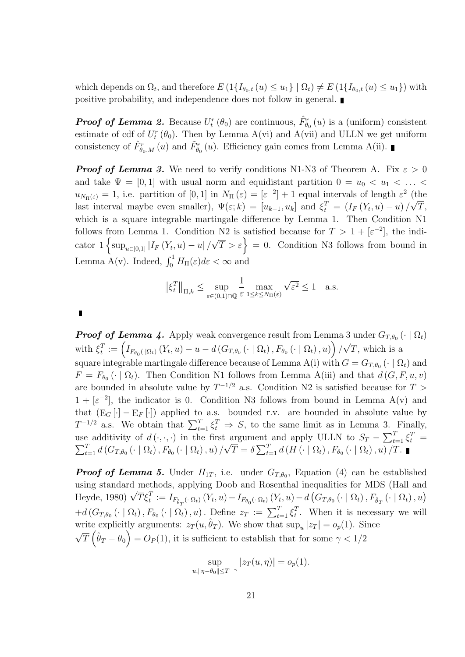which depends on  $\Omega_t$ , and therefore  $E(1{I_{\theta_0,t}(u) \le u_1}\mid \Omega_t) \ne E(1{I_{\theta_0,t}(u) \le u_1})$  with positive probability, and independence does not follow in general.

**Proof of Lemma 2.** Because  $U_t^r(\theta_0)$  are continuous,  $\hat{F}_{\theta_0}^r(u)$  is a (uniform) consistent estimate of cdf of  $U_t^r(\theta_0)$ . Then by Lemma A(vi) and A(vii) and ULLN we get uniform consistency of  $\hat{F}^r_{\theta_0,M}(u)$  and  $\tilde{F}^r_{\theta_0}(u)$ . Efficiency gain comes from Lemma A(ii).

**Proof of Lemma 3.** We need to verify conditions N1-N3 of Theorem A. Fix  $\varepsilon > 0$ and take  $\Psi = [0, 1]$  with usual norm and equidistant partition  $0 = u_0 < u_1 < \ldots <$  $u_{N_{\Pi}(\varepsilon)} = 1$ , i.e. partition of  $[0, 1]$  in  $N_{\Pi}(\varepsilon) = [\varepsilon^{-2}] + 1$  equal intervals of length  $\varepsilon^2$  (the last interval maybe even smaller),  $\Psi(\varepsilon;k) = [u_{k-1}, u_k]$  and  $\xi_t^T = (I_F(Y_t, u) - u)/\sqrt{T}$ , which is a square integrable martingale difference by Lemma 1. Then Condition N1 follows from Lemma 1. Condition N2 is satisfied because for  $T > 1 + [\varepsilon^{-2}]$ , the indicator  $1 \left\{ \sup_{u \in [0,1]} |I_F(Y_t, u) - u| / \right\}$  $\begin{cases} \sqrt{T} > \varepsilon \end{cases} = 0.$  Condition N3 follows from bound in Lemma A(v). Indeed,  $\int_0^1 H_{\Pi}(\varepsilon) d\varepsilon < \infty$  and

$$
\left\|\xi_t^T\right\|_{\Pi,k} \le \sup_{\varepsilon \in (0,1) \cap \mathbb{Q}} \frac{1}{\varepsilon} \max_{1 \le k \le N_{\Pi}(\varepsilon)} \sqrt{\varepsilon^2} \le 1 \quad \text{a.s.}
$$

**Proof of Lemma 4.** Apply weak convergence result from Lemma 3 under  $G_{T,\theta_0}$  ( $\cdot \mid \Omega_t$ ) with  $\xi_t^T$  $\begin{split} T_t^T := \left(I_{F_{\theta_0}(\cdot|\Omega_t)}\left(Y_t, u\right) - u - d\left(G_{T,\theta_0}\left(\cdot \mid \Omega_t\right), F_{\theta_0}\left(\cdot \mid \Omega_t\right), u\right)\right)/ \end{split}$ √ T, which is a square integrable martingale difference because of Lemma A(i) with  $G = G_{T,\theta_0}$  ( $\cdot \mid \Omega_t$ ) and  $F = F_{\theta_0}(\cdot | \Omega_t)$ . Then Condition N1 follows from Lemma A(iii) and that  $d(G, F, u, v)$ are bounded in absolute value by  $T^{-1/2}$  a.s. Condition N2 is satisfied because for  $T >$  $1 + [\varepsilon^{-2}]$ , the indicator is 0. Condition N3 follows from bound in Lemma A(v) and that  $(E_G[\cdot] - E_F[\cdot])$  applied to a.s. bounded r.v. are bounded in absolute value by  $T^{-1/2}$  a.s. We obtain that  $\sum_{t=1}^{T} \xi_t^T \Rightarrow S$ , to the same limit as in Lemma 3. Finally, use additivity of  $d(\cdot,\cdot,\cdot)$  in the first argument and apply ULLN to  $S_T - \sum_{t=1}^T \xi_t^T =$  $\sum_{t=1}^{T}d\left(G_{T,\theta_{0}}\left(\cdot\mid\Omega_{t}\right),F_{\theta_{0}}\left(\cdot\mid\Omega_{t}\right),u\right)/$ √  $\overline{T} = \delta \sum_{t=1}^{T} d(H(\cdot | \Omega_t), F_{\theta_0}(\cdot | \Omega_t), u) / T.$ 

**Proof of Lemma 5.** Under  $H_{1T}$ , i.e. under  $G_{T,\theta_0}$ , Equation (4) can be established using standard methods, applying Doob and Rosenthal inequalities for MDS (Hall and distribution of the throngs, applying Doop and Rosenthal mequanties for MDS (Fian and Heyde, 1980)  $\sqrt{T} \xi_t^T := I_{F_{\hat{\theta}_T}(\cdot|\Omega_t)}(Y_t, u) - I_{F_{\theta_0}(\cdot|\Omega_t)}(Y_t, u) - d(G_{T,\theta_0}(\cdot | \Omega_t), F_{\hat{\theta}_T}(\cdot | \Omega_t), u)$  $+d(G_{T,\theta_0}(\cdot | \Omega_t), F_{\theta_0}(\cdot | \Omega_t), u)$ . Define  $z_T := \sum_{t=1}^T \xi_t^T$  $t<sup>T</sup>$ . When it is necessary we will write explicitly arguments:  $z_T(u, \hat{\theta}_T)$ . We show that  $\sup_u |z_T| = o_p(1)$ . Since √  $\overline{T}(\hat{\theta}_T - \theta_0) = O_P(1)$ , it is sufficient to establish that for some  $\gamma < 1/2$ 

$$
\sup_{u, \|\eta - \theta_0\| \le T^{-\gamma}} |z_T(u, \eta)| = o_p(1).
$$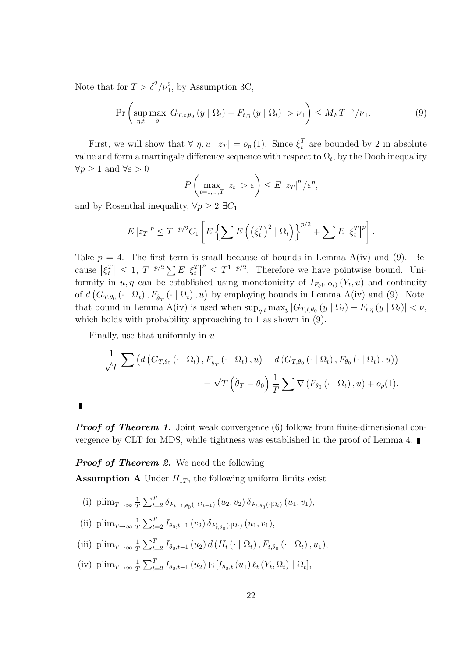Note that for  $T > \delta^2/\nu_1^2$ , by Assumption 3C,

$$
\Pr\left(\sup_{\eta,t}\max_{y}|G_{T,t,\theta_0}(y\mid\Omega_t)-F_{t,\eta}(y\mid\Omega_t)|>\nu_1\right)\leq M_{F}T^{-\gamma}/\nu_1.
$$
\n(9)

First, we will show that  $\forall \eta, u \, |z_T| = o_p(1)$ . Since  $\xi_t^T$  $t_t^T$  are bounded by 2 in absolute value and form a martingale difference sequence with respect to  $\Omega_t$ , by the Doob inequality  $\forall p \geq 1$  and  $\forall \varepsilon > 0$ 

$$
P\left(\max_{t=1,\dots,T}|z_t|>\varepsilon\right)\leq E\left|z_T\right|^p/\varepsilon^p,
$$

and by Rosenthal inequality,  $\forall p \geq 2$  ∃ $C_1$ 

$$
E |z_T|^p \leq T^{-p/2} C_1 \left[ E \left\{ \sum E \left( \left( \xi_t^T \right)^2 \mid \Omega_t \right) \right\}^{p/2} + \sum E \left| \xi_t^T \right|^p \right].
$$

Take  $p = 4$ . The first term is small because of bounds in Lemma A(iv) and (9). Because  $\xi_t^T$  $\left| \sum_{t=1}^{T} \right| \leq 1, T^{-p/2} \sum_{t=1}^{T} E \left| \xi_t^T \right|$  $\left\lceil \frac{T}{t} \right\rceil$  $p^p \leq T^{1-p/2}$ . Therefore we have pointwise bound. Uniformity in  $u, \eta$  can be established using monotonicity of  $I_{F_{\theta}(\cdot|\Omega_t)}(Y_t, u)$  and continuity of  $d(G_{T,\theta_0}(\cdot | \Omega_t), F_{\hat{\theta}_T}(\cdot | \Omega_t), u)$  by employing bounds in Lemma A(iv) and (9). Note, that bound in Lemma A(iv) is used when  $\sup_{\eta,t} \max_y |G_{T,t,\theta_0}(y | \Omega_t) - F_{t,\eta}(y | \Omega_t)| < \nu$ , which holds with probability approaching to 1 as shown in  $(9)$ .

Finally, use that uniformly in  $u$ 

$$
\frac{1}{\sqrt{T}}\sum \left(d\left(G_{T,\theta_0}\left(\cdot\mid\Omega_t\right), F_{\hat{\theta}_T}\left(\cdot\mid\Omega_t\right), u\right) - d\left(G_{T,\theta_0}\left(\cdot\mid\Omega_t\right), F_{\theta_0}\left(\cdot\mid\Omega_t\right), u\right)\right) \n= \sqrt{T}\left(\hat{\theta}_T - \theta_0\right) \frac{1}{T}\sum \nabla\left(F_{\theta_0}\left(\cdot\mid\Omega_t\right), u\right) + o_p(1).
$$

 $\overline{\phantom{a}}$ 

**Proof of Theorem 1.** Joint weak convergence (6) follows from finite-dimensional convergence by CLT for MDS, while tightness was established in the proof of Lemma 4.

**Proof of Theorem 2.** We need the following

**Assumption A** Under  $H_{1T}$ , the following uniform limits exist

- (i)  $\lim_{T\to\infty}\frac{1}{T}$  $\frac{1}{T}\sum_{t=2}^T \delta_{F_{t-1,\theta_0}(\cdot|\Omega_{t-1})} (u_2,v_2)\,\delta_{F_{t,\theta_0}(\cdot|\Omega_t)} (u_1,v_1),$
- (ii)  $\lim_{T\to\infty}\frac{1}{T}$  $\frac{1}{T} \sum_{t=2}^{T} I_{\theta_0,t-1} (v_2) \, \delta_{F_{t,\theta_0}(\cdot|\Omega_t)} (u_1,v_1),$
- (iii)  $\lim_{T\to\infty}\frac{1}{T}$  $\frac{1}{T} \sum_{t=2}^{T} I_{\theta_0,t-1}(u_2) d(H_t(\cdot | \Omega_t), F_{t,\theta_0}(\cdot | \Omega_t), u_1),$
- (iv)  $\lim_{T\to\infty}\frac{1}{T}$  $\frac{1}{T} \sum_{t=2}^{T} I_{\theta_0,t-1}(u_2) \to [I_{\theta_0,t}(u_1) \ell_t(Y_t,\Omega_t) | \Omega_t],$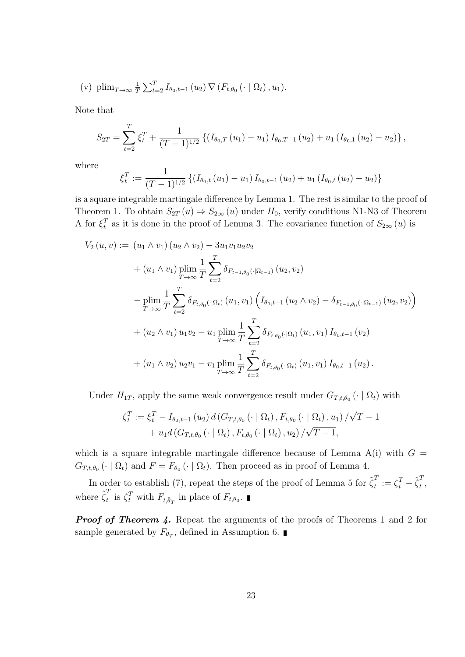(v) 
$$
\text{plim}_{T\to\infty} \frac{1}{T} \sum_{t=2}^{T} I_{\theta_0,t-1}(u_2) \nabla (F_{t,\theta_0}(\cdot \mid \Omega_t), u_1).
$$

Note that

$$
S_{2T} = \sum_{t=2}^{T} \xi_t^T + \frac{1}{(T-1)^{1/2}} \left\{ \left( I_{\theta_0,T}(u_1) - u_1 \right) I_{\theta_0,T-1}(u_2) + u_1 \left( I_{\theta_0,1}(u_2) - u_2 \right) \right\},\,
$$

where

$$
\xi_t^T := \frac{1}{(T-1)^{1/2}} \left\{ \left(I_{\theta_0,t}(u_1) - u_1\right) I_{\theta_0,t-1}(u_2) + u_1 \left(I_{\theta_0,t}(u_2) - u_2\right) \right\}
$$

is a square integrable martingale difference by Lemma 1. The rest is similar to the proof of Theorem 1. To obtain  $S_{2T}(u) \Rightarrow S_{2\infty}(u)$  under  $H_0$ , verify conditions N1-N3 of Theorem A for  $\xi_t^T$  $t<sub>t</sub><sup>T</sup>$  as it is done in the proof of Lemma 3. The covariance function of  $S_{2\infty}(u)$  is

$$
V_2 (u, v) := (u_1 \wedge v_1) (u_2 \wedge v_2) - 3u_1v_1u_2v_2
$$
  
+  $(u_1 \wedge v_1) \plim_{T \to \infty} \frac{1}{T} \sum_{t=2}^T \delta_{F_{t-1,\theta_0}(\cdot|\Omega_{t-1})} (u_2, v_2)$   
-  $\plim_{T \to \infty} \frac{1}{T} \sum_{t=2}^T \delta_{F_{t,\theta_0}(\cdot|\Omega_t)} (u_1, v_1) (I_{\theta_0,t-1} (u_2 \wedge v_2) - \delta_{F_{t-1,\theta_0}(\cdot|\Omega_{t-1})} (u_2, v_2))$   
+  $(u_2 \wedge v_1) u_1v_2 - u_1 \plim_{T \to \infty} \frac{1}{T} \sum_{t=2}^T \delta_{F_{t,\theta_0}(\cdot|\Omega_t)} (u_1, v_1) I_{\theta_0,t-1} (v_2)$   
+  $(u_1 \wedge v_2) u_2v_1 - v_1 \plim_{T \to \infty} \frac{1}{T} \sum_{t=2}^T \delta_{F_{t,\theta_0}(\cdot|\Omega_t)} (u_1, v_1) I_{\theta_0,t-1} (u_2).$ 

Under  $H_{1T}$ , apply the same weak convergence result under  $G_{T,t,\theta_0}(\cdot | \Omega_t)$  with

$$
\zeta_t^T := \xi_t^T - I_{\theta_0, t-1}(u_2) d(G_{T, t, \theta_0}(\cdot \mid \Omega_t), F_{t, \theta_0}(\cdot \mid \Omega_t), u_1) / \sqrt{T - 1} + u_1 d(G_{T, t, \theta_0}(\cdot \mid \Omega_t), F_{t, \theta_0}(\cdot \mid \Omega_t), u_2) / \sqrt{T - 1},
$$

which is a square integrable martingale difference because of Lemma  $A(i)$  with  $G =$  $G_{T,t,\theta_0}(\cdot | \Omega_t)$  and  $F = F_{\theta_0}(\cdot | \Omega_t)$ . Then proceed as in proof of Lemma 4.

In order to establish (7), repeat the steps of the proof of Lemma 5 for  $\tilde{\zeta}_t^T$  $\frac{T}{t} := \zeta_t^T - \hat{\zeta}_t^T$  $\frac{1}{t}$ , where  $\hat{\zeta}_t^T$ <sup>t</sup> is  $\zeta_t^T$  with  $F_{t,\hat{\theta}_T}$  in place of  $F_{t,\theta_0}$ .

**Proof of Theorem 4.** Repeat the arguments of the proofs of Theorems 1 and 2 for sample generated by  $F_{\theta_T}$ , defined in Assumption 6.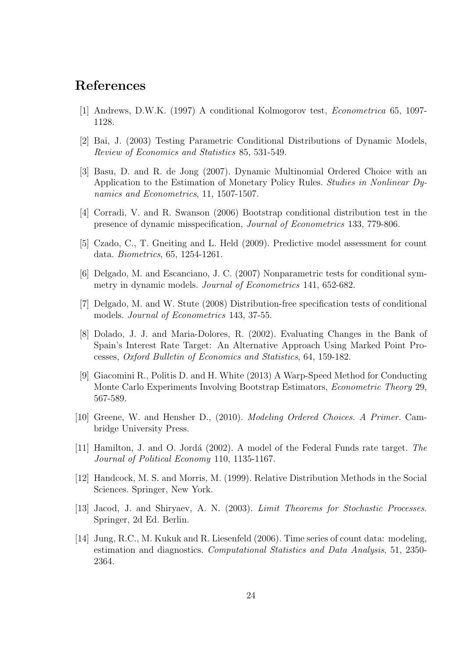## References

- [1] Andrews, D.W.K. (1997) A conditional Kolmogorov test, Econometrica 65, 1097- 1128.
- [2] Bai, J. (2003) Testing Parametric Conditional Distributions of Dynamic Models, Review of Economics and Statistics 85, 531-549.
- [3] Basu, D. and R. de Jong (2007). Dynamic Multinomial Ordered Choice with an Application to the Estimation of Monetary Policy Rules. Studies in Nonlinear Dynamics and Econometrics, 11, 1507-1507.
- [4] Corradi, V. and R. Swanson (2006) Bootstrap conditional distribution test in the presence of dynamic misspecification, Journal of Econometrics 133, 779-806.
- [5] Czado, C., T. Gneiting and L. Held (2009). Predictive model assessment for count data. Biometrics, 65, 1254-1261.
- [6] Delgado, M. and Escanciano, J. C. (2007) Nonparametric tests for conditional symmetry in dynamic models. Journal of Econometrics 141, 652-682.
- [7] Delgado, M. and W. Stute (2008) Distribution-free specification tests of conditional models. Journal of Econometrics 143, 37-55.
- [8] Dolado, J. J. and Maria-Dolores, R. (2002). Evaluating Changes in the Bank of Spain's Interest Rate Target: An Alternative Approach Using Marked Point Processes, Oxford Bulletin of Economics and Statistics, 64, 159-182.
- [9] Giacomini R., Politis D. and H. White (2013) A Warp-Speed Method for Conducting Monte Carlo Experiments Involving Bootstrap Estimators, Econometric Theory 29, 567-589.
- [10] Greene, W. and Hensher D., (2010). Modeling Ordered Choices. A Primer. Cambridge University Press.
- [11] Hamilton, J. and O. Jordá (2002). A model of the Federal Funds rate target. The Journal of Political Economy 110, 1135-1167.
- [12] Handcock, M. S. and Morris, M. (1999). Relative Distribution Methods in the Social Sciences. Springer, New York.
- [13] Jacod, J. and Shiryaev, A. N. (2003). *Limit Theorems for Stochastic Processes*. Springer, 2d Ed. Berlin.
- [14] Jung, R.C., M. Kukuk and R. Liesenfeld (2006). Time series of count data: modeling, estimation and diagnostics. Computational Statistics and Data Analysis, 51, 2350- 2364.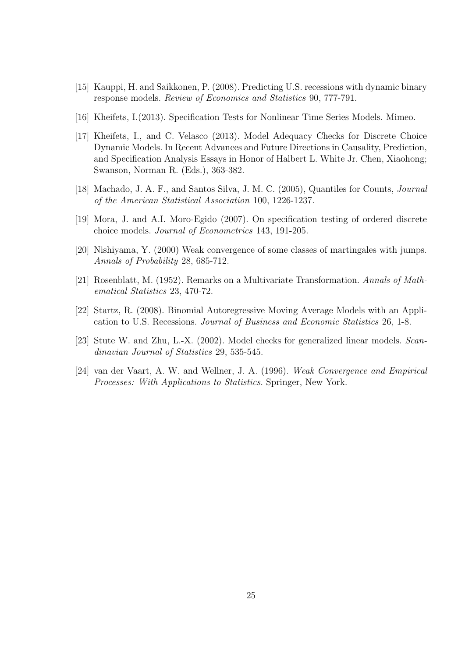- [15] Kauppi, H. and Saikkonen, P. (2008). Predicting U.S. recessions with dynamic binary response models. Review of Economics and Statistics 90, 777-791.
- [16] Kheifets, I.(2013). Specification Tests for Nonlinear Time Series Models. Mimeo.
- [17] Kheifets, I., and C. Velasco (2013). Model Adequacy Checks for Discrete Choice Dynamic Models. In Recent Advances and Future Directions in Causality, Prediction, and Specification Analysis Essays in Honor of Halbert L. White Jr. Chen, Xiaohong; Swanson, Norman R. (Eds.), 363-382.
- [18] Machado, J. A. F., and Santos Silva, J. M. C. (2005), Quantiles for Counts, Journal of the American Statistical Association 100, 1226-1237.
- [19] Mora, J. and A.I. Moro-Egido (2007). On specification testing of ordered discrete choice models. Journal of Econometrics 143, 191-205.
- [20] Nishiyama, Y. (2000) Weak convergence of some classes of martingales with jumps. Annals of Probability 28, 685-712.
- [21] Rosenblatt, M. (1952). Remarks on a Multivariate Transformation. Annals of Mathematical Statistics 23, 470-72.
- [22] Startz, R. (2008). Binomial Autoregressive Moving Average Models with an Application to U.S. Recessions. Journal of Business and Economic Statistics 26, 1-8.
- [23] Stute W. and Zhu, L.-X. (2002). Model checks for generalized linear models. Scandinavian Journal of Statistics 29, 535-545.
- [24] van der Vaart, A. W. and Wellner, J. A. (1996). Weak Convergence and Empirical Processes: With Applications to Statistics. Springer, New York.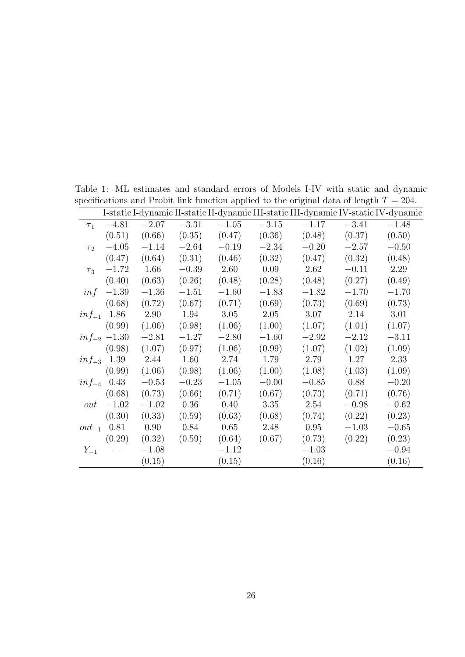|            |                  |         |         |         |         |         |         | I-static I-dynamic II-static II-dynamic III-static III-dynamic IV-static IV-dynamic |
|------------|------------------|---------|---------|---------|---------|---------|---------|-------------------------------------------------------------------------------------|
| $\tau_1$   | $-4.81$          | $-2.07$ | $-3.31$ | $-1.05$ | $-3.15$ | $-1.17$ | $-3.41$ | $-1.48$                                                                             |
|            | (0.51)           | (0.66)  | (0.35)  | (0.47)  | (0.36)  | (0.48)  | (0.37)  | (0.50)                                                                              |
| $\tau_2$   | $-4.05$          | $-1.14$ | $-2.64$ | $-0.19$ | $-2.34$ | $-0.20$ | $-2.57$ | $-0.50$                                                                             |
|            | (0.47)           | (0.64)  | (0.31)  | (0.46)  | (0.32)  | (0.47)  | (0.32)  | (0.48)                                                                              |
| $\tau_3$   | $-1.72$          | 1.66    | $-0.39$ | 2.60    | 0.09    | 2.62    | $-0.11$ | 2.29                                                                                |
|            | (0.40)           | (0.63)  | (0.26)  | (0.48)  | (0.28)  | (0.48)  | (0.27)  | (0.49)                                                                              |
| inf        | $-1.39$          | $-1.36$ | $-1.51$ | $-1.60$ | $-1.83$ | $-1.82$ | $-1.70$ | $-1.70$                                                                             |
|            | (0.68)           | (0.72)  | (0.67)  | (0.71)  | (0.69)  | (0.73)  | (0.69)  | (0.73)                                                                              |
|            | $inf_{-1}$ 1.86  | 2.90    | 1.94    | 3.05    | 2.05    | 3.07    | 2.14    | 3.01                                                                                |
|            | (0.99)           | (1.06)  | (0.98)  | (1.06)  | (1.00)  | (1.07)  | (1.01)  | (1.07)                                                                              |
|            | $inf_{-2}$ -1.30 | $-2.81$ | $-1.27$ | $-2.80$ | $-1.60$ | $-2.92$ | $-2.12$ | $-3.11$                                                                             |
|            | (0.98)           | (1.07)  | (0.97)  | (1.06)  | (0.99)  | (1.07)  | (1.02)  | (1.09)                                                                              |
|            | $inf_{-3}$ 1.39  | 2.44    | 1.60    | 2.74    | 1.79    | 2.79    | 1.27    | 2.33                                                                                |
|            | (0.99)           | (1.06)  | (0.98)  | (1.06)  | (1.00)  | (1.08)  | (1.03)  | (1.09)                                                                              |
|            | $inf_{-4}$ 0.43  | $-0.53$ | $-0.23$ | $-1.05$ | $-0.00$ | $-0.85$ | 0.88    | $-0.20$                                                                             |
|            | (0.68)           | (0.73)  | (0.66)  | (0.71)  | (0.67)  | (0.73)  | (0.71)  | (0.76)                                                                              |
| out        | $-1.02$          | $-1.02$ | 0.36    | 0.40    | 3.35    | 2.54    | $-0.98$ | $-0.62$                                                                             |
|            | (0.30)           | (0.33)  | (0.59)  | (0.63)  | (0.68)  | (0.74)  | (0.22)  | (0.23)                                                                              |
| $out_{-1}$ | 0.81             | 0.90    | 0.84    | 0.65    | 2.48    | 0.95    | $-1.03$ | $-0.65$                                                                             |
|            | (0.29)           | (0.32)  | (0.59)  | (0.64)  | (0.67)  | (0.73)  | (0.22)  | (0.23)                                                                              |
| $Y_{-1}$   |                  | $-1.08$ |         | $-1.12$ |         | $-1.03$ |         | $-0.94$                                                                             |
|            |                  | (0.15)  |         | (0.15)  |         | (0.16)  |         | (0.16)                                                                              |

Table 1: ML estimates and standard errors of Models I-IV with static and dynamic specifications and Probit link function applied to the original data of length  $T = 204$ .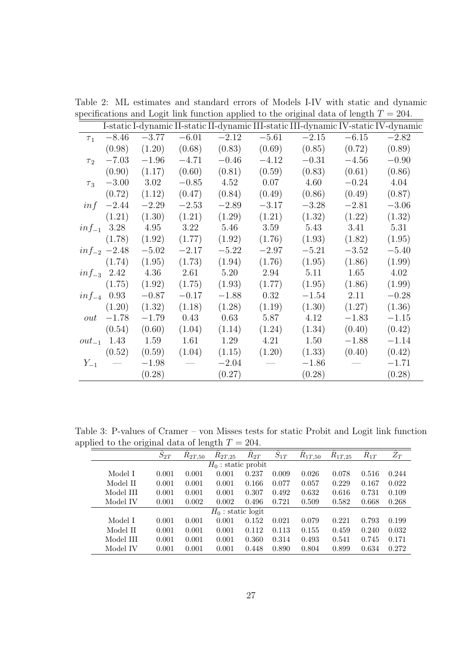|                     |                  |         |         |         |         |         |         | I-static I-dynamic II-static II-dynamic III-static III-dynamic IV-static IV-dynamic |
|---------------------|------------------|---------|---------|---------|---------|---------|---------|-------------------------------------------------------------------------------------|
| $\tau_1$            | $-8.46$          | $-3.77$ | $-6.01$ | $-2.12$ | $-5.61$ | $-2.15$ | $-6.15$ | $-2.82$                                                                             |
|                     | (0.98)           | (1.20)  | (0.68)  | (0.83)  | (0.69)  | (0.85)  | (0.72)  | (0.89)                                                                              |
| $\tau$ <sub>2</sub> | $-7.03$          | $-1.96$ | $-4.71$ | $-0.46$ | $-4.12$ | $-0.31$ | $-4.56$ | $-0.90$                                                                             |
|                     | (0.90)           | (1.17)  | (0.60)  | (0.81)  | (0.59)  | (0.83)  | (0.61)  | (0.86)                                                                              |
| $\tau_3$            | $-3.00$          | 3.02    | $-0.85$ | 4.52    | 0.07    | 4.60    | $-0.24$ | 4.04                                                                                |
|                     | (0.72)           | (1.12)  | (0.47)  | (0.84)  | (0.49)  | (0.86)  | (0.49)  | (0.87)                                                                              |
| inf                 | $-2.44$          | $-2.29$ | $-2.53$ | $-2.89$ | $-3.17$ | $-3.28$ | $-2.81$ | $-3.06$                                                                             |
|                     | (1.21)           | (1.30)  | (1.21)  | (1.29)  | (1.21)  | (1.32)  | (1.22)  | (1.32)                                                                              |
|                     | $inf_{-1}$ 3.28  | 4.95    | 3.22    | 5.46    | 3.59    | 5.43    | 3.41    | 5.31                                                                                |
|                     | (1.78)           | (1.92)  | (1.77)  | (1.92)  | (1.76)  | (1.93)  | (1.82)  | (1.95)                                                                              |
|                     | $inf_{-2}$ -2.48 | $-5.02$ | $-2.17$ | $-5.22$ | $-2.97$ | $-5.21$ | $-3.52$ | $-5.40$                                                                             |
|                     | (1.74)           | (1.95)  | (1.73)  | (1.94)  | (1.76)  | (1.95)  | (1.86)  | (1.99)                                                                              |
| $inf_{-3}$ 2.42     |                  | 4.36    | 2.61    | 5.20    | 2.94    | 5.11    | 1.65    | 4.02                                                                                |
|                     | (1.75)           | (1.92)  | (1.75)  | (1.93)  | (1.77)  | (1.95)  | (1.86)  | (1.99)                                                                              |
| $inf_{-4}$ 0.93     |                  | $-0.87$ | $-0.17$ | $-1.88$ | 0.32    | $-1.54$ | 2.11    | $-0.28$                                                                             |
|                     | (1.20)           | (1.32)  | (1.18)  | (1.28)  | (1.19)  | (1.30)  | (1.27)  | (1.36)                                                                              |
| out                 | $-1.78$          | $-1.79$ | 0.43    | 0.63    | 5.87    | 4.12    | $-1.83$ | $-1.15$                                                                             |
|                     | (0.54)           | (0.60)  | (1.04)  | (1.14)  | (1.24)  | (1.34)  | (0.40)  | (0.42)                                                                              |
| $out_{-1}$          | 1.43             | 1.59    | 1.61    | 1.29    | 4.21    | 1.50    | $-1.88$ | $-1.14$                                                                             |
|                     | (0.52)           | (0.59)  | (1.04)  | (1.15)  | (1.20)  | (1.33)  | (0.40)  | (0.42)                                                                              |
| $Y_{-1}$            |                  | $-1.98$ |         | $-2.04$ |         | $-1.86$ |         | $-1.71$                                                                             |
|                     |                  | (0.28)  |         | (0.27)  |         | (0.28)  |         | (0.28)                                                                              |

Table 2: ML estimates and standard errors of Models I-IV with static and dynamic specifications and Logit link function applied to the original data of length  $T = 204$ .

Table 3: P-values of Cramer – von Misses tests for static Probit and Logit link function applied to the original data of length  $T = 204$ .

|           | $\tilde{}$            |                |             |                      |          |                           |             |             |                |             |  |  |
|-----------|-----------------------|----------------|-------------|----------------------|----------|---------------------------|-------------|-------------|----------------|-------------|--|--|
|           |                       | $\hat{S}_{2T}$ | $R_{2T,50}$ | $R_{2T,25}$          | $R_{2T}$ | $\overline{\hat{S}_{1T}}$ | $R_{1T,50}$ | $R_{1T,25}$ | $\hat{R}_{1T}$ | $\hat{Z}_T$ |  |  |
|           | $H_0$ : static probit |                |             |                      |          |                           |             |             |                |             |  |  |
| Model I   |                       | 0.001          | 0.001       | 0.001                | 0.237    | 0.009                     | 0.026       | 0.078       | 0.516          | 0.244       |  |  |
| Model II  |                       | 0.001          | 0.001       | 0.001                | 0.166    | 0.077                     | 0.057       | 0.229       | 0.167          | 0.022       |  |  |
| Model III |                       | 0.001          | 0.001       | 0.001                | 0.307    | 0.492                     | 0.632       | 0.616       | 0.731          | 0.109       |  |  |
| Model IV  |                       | 0.001          | 0.002       | 0.002                | 0.496    | 0.721                     | 0.509       | 0.582       | 0.668          | 0.268       |  |  |
|           |                       |                |             | $H_0$ : static logit |          |                           |             |             |                |             |  |  |
| Model I   |                       | 0.001          | 0.001       | 0.001                | 0.152    | 0.021                     | 0.079       | 0.221       | 0.793          | 0.199       |  |  |
| Model II  |                       | 0.001          | 0.001       | 0.001                | 0.112    | 0.113                     | 0.155       | 0.459       | 0.240          | 0.032       |  |  |
| Model III |                       | 0.001          | 0.001       | 0.001                | 0.360    | 0.314                     | 0.493       | 0.541       | 0.745          | 0.171       |  |  |
| Model IV  |                       | 0.001          | 0.001       | 0.001                | 0.448    | 0.890                     | 0.804       | 0.899       | 0.634          | 0.272       |  |  |
|           |                       |                |             |                      |          |                           |             |             |                |             |  |  |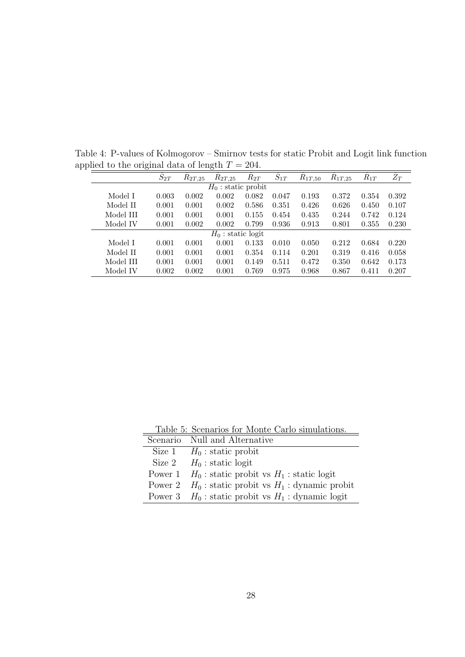| $\mu$ <sup>110</sup> $\alpha$ to the stighted details of following |                  |             |                       |          |          |                   |             |                  |             |
|--------------------------------------------------------------------|------------------|-------------|-----------------------|----------|----------|-------------------|-------------|------------------|-------------|
|                                                                    | $\tilde{S}_{2T}$ | $R_{2T,25}$ | $R_{2T,25}$           | $R_{2T}$ | $S_{1T}$ | $\hat{R}_{1T,50}$ | $R_{1T,25}$ | $\tilde{R}_{1T}$ | $\bar{Z}_T$ |
|                                                                    |                  |             | $H_0$ : static probit |          |          |                   |             |                  |             |
| Model I                                                            | 0.003            | 0.002       | 0.002                 | 0.082    | 0.047    | 0.193             | 0.372       | 0.354            | 0.392       |
| Model II                                                           | 0.001            | 0.001       | 0.002                 | 0.586    | 0.351    | 0.426             | 0.626       | 0.450            | 0.107       |
| Model III                                                          | 0.001            | 0.001       | 0.001                 | 0.155    | 0.454    | 0.435             | 0.244       | 0.742            | 0.124       |
| Model IV                                                           | 0.001            | 0.002       | 0.002                 | 0.799    | 0.936    | 0.913             | 0.801       | 0.355            | 0.230       |
|                                                                    |                  |             | $H_0$ : static logit  |          |          |                   |             |                  |             |
| Model I                                                            | 0.001            | 0.001       | 0.001                 | 0.133    | 0.010    | 0.050             | 0.212       | 0.684            | 0.220       |
| Model II                                                           | 0.001            | 0.001       | 0.001                 | 0.354    | 0.114    | 0.201             | 0.319       | 0.416            | 0.058       |
| Model III                                                          | 0.001            | 0.001       | 0.001                 | 0.149    | 0.511    | 0.472             | 0.350       | 0.642            | 0.173       |
| Model IV                                                           | 0.002            | 0.002       | 0.001                 | 0.769    | 0.975    | 0.968             | 0.867       | 0.411            | 0.207       |

Table 4: P-values of Kolmogorov – Smirnov tests for static Probit and Logit link function applied to the original data of length  $T = 204$ .

Table 5: Scenarios for Monte Carlo simulations.

 $\overline{a}$ 

| Scenario Null and Alternative                           |
|---------------------------------------------------------|
| Size 1 $H_0$ : static probit                            |
| Size 2 $H_0$ : static logit                             |
| Power 1 $H_0$ : static probit vs $H_1$ : static logit   |
| Power 2 $H_0$ : static probit vs $H_1$ : dynamic probit |
| Power 3 $H_0$ : static probit vs $H_1$ : dynamic logit  |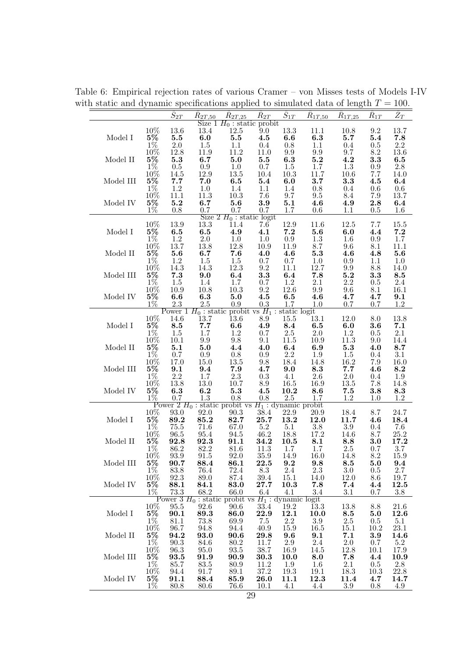$\hat{S}_{2T} - \hat{R}$  $\hat{R}_{2T.50}$  $\hat{R}_{2T.25}$  $\hat{R}_{2T}$  $\hat{S}_{1T}$  $\hat{R}_{1T.50}$  $\hat{R}_{1T,25}$  $\hat{R}_{1T}$  $\hat{Z}_T$ Size  $1 H_0$ : static probit 13.4 12.5 9.0 10% 13.6 13.4 12.5 9.0 13.3 11.1 10.8 9.2 13.7 Model I  $5\%$   $5.5$   $6.0$   $5.5$   $4.5$   $6.6$   $6.3$   $5.7$   $5.4$   $7.8$ 1% 2.0 1.5 1.1 0.4 0.8 1.1 0.4 0.5 2.2 10% 12.8 11.9 11.2 11.0 9.9 9.9 9.7 8.2 13.6 Model II  $5\%$  5.3 6.7 5.0 5.5 6.3 5.2 4.2 3.3 6.5 1% 0.5 0.9 1.0 0.7 1.5 1.7 1.3 0.9 2.8 10% 14.5 12.9 13.5 10.4 10.3 11.7 10.6 7.7 14.0 Model III 5% 7.7 7.0 6.5 5.4 6.0 3.7 3.3 4.5 6.4 1% 1.2 1.0 1.4 1.1 1.4 0.8 0.4 0.6 0.6 10% 11.1 11.3 10.3 7.6 9.7 9.5 8.4 7.9 13.7 Model IV 5% 5.2 6.7 5.6 3.9 5.1 4.6 4.9 2.8 6.4 1% 0.8 0.7 0.7 0.7 1.7 0.6 1.1 0.5 1.6 Size  $2 H_0$ : static logit<br>13.3 11.4 7.6 10% 13.9 13.3 11.4 7.6 12.9 11.6 12.5 7.7 15.5 Model I  $5\%$   $6.5$   $6.5$   $4.9$   $4.1$   $7.2$   $5.6$   $6.0$   $4.4$   $7.2$ 1% 1.2 2.0 1.0 1.0 0.9 1.3 1.6 0.9 1.7 10% 13.7 13.8 12.8 10.9 11.9 8.7 9.6 8.1 11.1 Model II  $5\%$  5.6 6.7 7.6 4.0 4.6 5.3 4.6 4.8 5.6 1% 1.2 1.5 1.5 0.7 0.7 1.0 0.9 1.1 1.0 10% 14.3 14.3 12.3 9.2 11.1 12.7 9.9 8.8 14.0 Model III 5% 7.3 9.0 6.4 3.3 6.4 7.8 5.2 3.3 8.5 1% 1.5 1.4 1.7 0.7 1.2 2.1 2.2 0.5 2.4 10% 10.9 10.8 10.3 9.2 12.6 9.9 9.6 8.1 16.1 Model IV  $5\%$  6.6 6.3 5.0 4.5 6.5 4.6 4.7 4.7 9.1 1% 2.3 2.5 0.9 0.3 1.7 1.0 0.7 0.7 1.2 Power  $1 H_0$ : static probit vs  $H_1$ : static logit<br>14.6 13.7 13.6 8.9 15.5 13.1 10% 14.6 13.7 13.6 8.9 15.5 13.1 12.0 8.0 13.8 Model I  $5\%$  8.5 7.7 6.6 4.9 8.4 6.5 6.0 3.6 7.1 1% 1.5 1.7 1.2 0.7 2.5 2.0 1.2 0.5 2.1 10% 10.1 9.9 9.8 9.1 11.5 10.9 11.3 9.0 14.4 Model II  $\,$  5 $\%$   $\,$  5.1  $\,$  5.0  $\,$  4.4  $\,$  4.0  $\,$  6.4  $\,$  6.9  $\,$  5.3  $\,$  4.0  $\,$  8.7  $\,$ 1% 0.7 0.9 0.8 0.9 2.2 1.9 1.5 0.4 3.1 10% 17.0 15.0 13.5 9.8 18.4 14.8 16.2 7.9 16.0 Model III 5% 9.1 9.4 7.9 4.7 9.0 8.3 7.7 4.6 8.2 1% 2.2 1.7 2.3 0.3 4.1 2.6 2.0 0.4 1.9 10% 13.8 13.0 10.7 8.9 16.5 16.9 13.5 7.8 14.8 Model IV 5% 6.3 6.2 5.3 4.5 10.2 8.6 7.5 3.8 8.3 1% 0.7 1.3 0.8 0.8 2.5 1.7 1.2 1.0 1.2 Power 2 H<sup>0</sup> : static probit vs H<sup>1</sup> : dynamic probit 10% 93.0 92.0 90.3 38.4 22.9 20.9 18.4 8.7 24.7 Model I 5% 89.2 85.2 82.7 25.7 13.2 12.0 11.7 4.6 18.4 1% 75.5 71.6 67.0 5.2 5.1 3.8 3.9 0.4 7.6 10% 96.5 95.4 94.5 46.2 18.8 17.2 14.6 8.7 25.2 Model II 5% 92.8 92.3 91.1 34.2 10.5 8.1 8.8 3.0 17.2 1% 86.2 82.2 81.6 11.3 1.7 1.7 2.5 0.7 3.7 10% 93.9 91.5 92.0 35.9 14.9 16.0 14.8 8.2 15.9  $\begin{array}{ccccccccc}\n & & & & & & & \widetilde{10}\% & 9\overline{3}.\overline{9} & 9\overline{1}.\overline{5} & 9\overline{2}.\overline{0} & 35.9 & 14.9 & 16.0 & 14.8 & 8.2 & 15.9 \\
 & 5\% & 90.7 & 88.4 & 86.1 & 22.5 & 9.2 & 9.8 & 8.5 & 5.0 & 9.4 \\
 & & 1\% & 83.8 & 76.4 & 72.4 & 8.3 & 2.4 & 2.3 & 3.0 & 0.5 & 2.7\n\end{$ 1% 83.8 76.4 72.4 8.3 2.4 2.3 3.0 0.5 2.7 10% 92.3 89.0 87.4 39.4 15.1 14.0 12.0 8.6 19.7 Model IV 5% 88.1 84.1 83.0 27.7 10.3 7.8 7.4 4.4 12.5 1% 73.3 68.2 66.0 6.4 4.1 3.4 3.1 0.7 3.8 Power 3  $H_0$  : static probit vs  $H_1$  : dynamic logit 10% 95.5 92.6 90.6 33.4 19.2 13.3 13.8 8.8 21.6 Model I 5% 90.1 89.3 86.0 22.9 12.1 10.0 8.5 5.0 12.6 1% 81.1 73.8 69.9 7.5 2.2 3.9 2.5 0.5 5.1 10% 96.7 94.8 94.4 40.9 15.9 16.5 15.1 10.2 23.1 Model II 5% 94.2 93.0 90.6 29.8 9.6 9.1 7.1 3.9 14.6 1% 90.3 84.6 80.2 11.7 2.9 2.4 2.0 0.7 5.2 10% 96.3 95.0 93.5 38.7 16.9 14.5 12.8 10.1 17.9 Model III 5% 93.5 91.9 90.9 30.3 10.0 8.0 7.8 4.4 10.9 1% 85.7 83.5 80.9 11.2 1.9 1.6 2.1 0.5 2.8 10% 94.4 91.7 89.1 37.2 19.3 19.1 18.3 10.3 22.8 Model IV 5% 91.1 88.4 85.9 26.0 11.1 12.3 11.4 4.7 14.7 1% 80.8 80.6 76.6 10.1 4.1 4.4 3.9 0.8 4.9

Table 6: Empirical rejection rates of various Cramer – von Misses tests of Models I-IV with static and dynamic specifications applied to simulated data of length  $T = 100$ .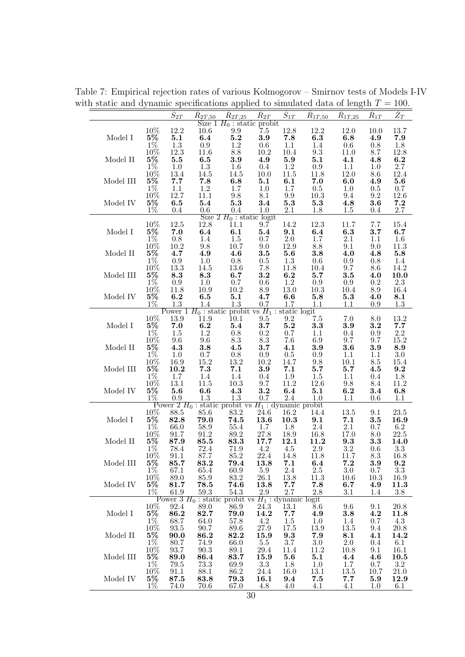|                                     |                                                                 | $\overline{\hat{S}_{2T}}$                  | $R_{2T,50}$                                | $\hat{R}_{2T,25}$                                                                                                                                               | $\hat{R}_{2T}$          |                               | $\hat{S}_{1T}$ $\hat{R}_{1T,50}$                                  | $\hat{R}_{1T,25}$ | $R_{1T}$                     | $\overline{\hat{Z}_T}$ |
|-------------------------------------|-----------------------------------------------------------------|--------------------------------------------|--------------------------------------------|-----------------------------------------------------------------------------------------------------------------------------------------------------------------|-------------------------|-------------------------------|-------------------------------------------------------------------|-------------------|------------------------------|------------------------|
|                                     |                                                                 |                                            |                                            | Size $1 H_0$ : static probit<br>10.6 9.9 7.5                                                                                                                    |                         |                               |                                                                   |                   |                              |                        |
| Model I                             | $\begin{array}{l} 10\% \\ {\bf 5\%} \\ 1\% \\ 10\% \end{array}$ | 12.2<br>5.1                                | 6.4                                        | $\begin{array}{c} 9.9 \\ 5.2 \end{array}$                                                                                                                       | 3.9                     | 7.8                           | $\begin{array}{cccc} 12.8 & 12.2 \\ 7.8 & 6.3 \end{array}$<br>6.3 | 12.0<br>6.8       | 10.0<br>4.9                  | 13.7<br>7.9            |
|                                     |                                                                 |                                            | $\rm 0.9$                                  | $1.2\,$                                                                                                                                                         | $0.6\,$                 | 1.1                           | $1.4\,$                                                           | $0.6\,$           | $0.8\,$                      | 1.8                    |
|                                     |                                                                 | $\begin{array}{c} 1.3 \\ 12.3 \end{array}$ | $11.6\,$                                   | $8.8\,$                                                                                                                                                         | $10.2\,$                | 10.4                          | $\rm 9.3$                                                         | $11.0\,$          | 8.7                          | 12.8                   |
| Model II                            | $5\%$                                                           | $\bf 5.5$                                  | 6.5                                        | $\bf 3.9$                                                                                                                                                       | 4.9                     | $\boldsymbol{5.9}$            | 5.1                                                               | 4.1               | 4.8                          | 6.2<br>2.7             |
|                                     | $1\%$                                                           | 1.0<br>13.4                                | 1.3<br>14.5                                | 1.6<br>14.5                                                                                                                                                     | $0.4\,$<br>$10.0\,$     | 1.2<br>$11.5\,$               | 0.9<br>11.8                                                       | 1.1<br>12.0       | $1.0\,$<br>$8.6\,$           | 12.4                   |
| $\operatorname{\mathsf{Model}}$ III | $\frac{10\%}{5\%}$                                              | 7.7                                        | 7.8                                        | 6.8                                                                                                                                                             | 5.1                     | 6.1                           | 7.0                                                               | 6.0               | 4.9                          | 5.6                    |
|                                     | $1\%$                                                           | 1.1                                        | 1.2                                        | 1.7                                                                                                                                                             | 1.0                     | 1.7                           | $0.5\,$                                                           | 1.0               | $0.5\,$                      | $0.7\,$                |
| Model IV                            |                                                                 | 12.7<br>6.5                                | $11.1\,$<br>5.4                            | $\frac{9.8}{5.3}$                                                                                                                                               | 8.1<br>$3.4\phantom{0}$ | $\frac{9.9}{5.3}$             | $10.3\,$<br>5.3                                                   | $9.4\,$<br>4.8    | $\frac{9.2}{3.6}$            | 12.6<br>7.2            |
|                                     | $\frac{10\%}{5\%}$<br>$\frac{10\%}{1\%}$                        | 0.4                                        |                                            |                                                                                                                                                                 |                         | 2.1                           | 1.8                                                               | 1.5               | $0.4\,$                      | 2.7                    |
|                                     |                                                                 |                                            |                                            | $\frac{0.6}{\text{Size 2 }} \frac{0.4}{H_0 \text{ : static logit}}$                                                                                             |                         |                               |                                                                   |                   |                              | 15.4                   |
| Model I                             | $^{10\%}_{\mathbf{5\%}}$                                        | $12.5\,$<br>7.0                            | 12.8<br>6.4                                | 11.1<br>6.1                                                                                                                                                     | 9.7<br>5.4              | 14.2<br>9.1                   | $\underset{\mathbf{6.4}}{12.3}$                                   | $11.7\,$<br>6.3   | 7.7<br>3.7                   | 6.7                    |
|                                     | $\frac{1\%}{10\%}$                                              | $0.8\,$                                    | $1.4\,$                                    | $1.5\,$                                                                                                                                                         | $0.7\,$                 | $\frac{2.0}{12.9}$            | $1.7\,$                                                           | $2.1\,$           | 1.1                          | 1.6                    |
|                                     |                                                                 | 10.2                                       | 9.8                                        | $10.7\,$                                                                                                                                                        | $9.0\,$                 |                               | $\!\!\!\!\!8.8$                                                   | 9.1<br>4.0        | $9.0\,$                      | 11.3                   |
| Model II                            | $5\%$<br>$1\%$                                                  | 4.7<br>$\rm 0.9$                           | 4.9<br>1.0                                 | 4.6<br>0.8                                                                                                                                                      | $3.5\,$<br>$0.5\,$      | 5.6<br>1.3                    | $\bf 3.8$<br>$0.6\,$                                              | $0.9\,$           | 4.8<br>0.8                   | 5.8<br>1.4             |
|                                     |                                                                 | 13.3                                       | 14.5                                       | 13.6                                                                                                                                                            | $7.8\,$                 | 11.8                          | 10.4                                                              | 9.7               | 8.6                          | 14.2                   |
| $\operatorname{\mathsf{Model}}$ III | $\frac{10\%}{5\%}$<br>$\frac{5\%}{1\%}$                         | $\bf 8.3$                                  | 8.3                                        | 6.7                                                                                                                                                             | $3.2\,$                 | $\bf{6.2}$                    | $5.7\,$                                                           | $\bf 3.5$         | 4.0                          | 10.0                   |
|                                     |                                                                 | 0.9<br>11.8                                | 1.0<br>10.9                                | 0.7<br>10.2                                                                                                                                                     | $0.6\,$                 | $\frac{1.2}{13.0}$            | 0.9<br>$10.3\,$                                                   | 0.9<br>$10.4\,$   | $\rm 0.2$<br>$\!\!\!\!\!8.9$ | 2.3<br>16.4            |
| Model IV                            | $\frac{10\%}{5\%}$                                              |                                            |                                            |                                                                                                                                                                 | $\frac{8.9}{4.7}$       |                               | $\boldsymbol{5.8}$                                                | $\bf 5.3$         | 4.0                          | 8.1                    |
|                                     | $1\%$                                                           |                                            |                                            | 6.2 6.5 5.1 4.7 6.6 5.8<br>1.3 1.4 1.3 0.7 1.7 1.1<br>Power 1 $H_0$ : static probit vs $H_1$ : static logit                                                     |                         |                               | 1.1                                                               | 1.1               | 0.9                          | 1.3                    |
|                                     |                                                                 | 13.9                                       | 11.9                                       | $\overline{10.1}$                                                                                                                                               | $9.5\,$                 |                               | $7.5\,$                                                           | $7.0\,$           | $8.0\,$                      | 13.2                   |
| Model I                             | $^{10\%}_{\mathbf{5\%}}$                                        | 7.0                                        | 6.2                                        | 5.4                                                                                                                                                             | 3.7                     | $\overset{9.2}{\mathbf{5.2}}$ | 3.3                                                               | $\bf 3.9$         | 3.2                          | 7.7                    |
|                                     | $1\%$<br>$10\%$                                                 | $1.5\,$                                    | 1.2                                        | 0.8                                                                                                                                                             | $0.2\,$                 | $0.7\,$                       | $1.1\,$                                                           | $0.4\,$           | $0.9\,$                      | $2.2\,$                |
| Model II                            |                                                                 | $9.6\,$<br>4.3                             | $9.6\,$<br>3.8                             | $\!\!\!\!\!8.3$<br>4.5                                                                                                                                          | $\!\!\!\!\!8.3$<br>3.7  | 7.6<br>4.1                    | $6.9\,$<br>$\bf 3.9$                                              | 9.7<br>$\bf 3.6$  | $9.7\,$<br>$\bf 3.9$         | $15.2\,$<br>8.9        |
|                                     |                                                                 | 1.0                                        | 0.7                                        | $\frac{0.8}{13.2}$                                                                                                                                              | 0.9                     | $0.5\,$                       | $\rm 0.9$                                                         | 1.1               | 1.1                          | $3.0\,$                |
|                                     |                                                                 | 16.9                                       | 15.2                                       |                                                                                                                                                                 | $10.2\,$                | 14.7                          | $9.8\,$                                                           | $10.1\,$          | $8.5\,$                      | 15.4                   |
| Model III                           | $\frac{5\%}{10\%}$<br>$\frac{10\%}{10\%}$<br>$\frac{5\%}{10\%}$ | $\bf 10.2$<br>1.7                          | 7.3                                        | 7.1<br>1.4                                                                                                                                                      | 3.9                     | 7.1<br>1.9                    | 5.7<br>1.5                                                        | 5.7<br>1.1        | 4.5<br>$0.4\,$               | 9.2<br>1.8             |
|                                     | $\frac{10\%}{5\%}$                                              | $13.1\,$                                   | $\begin{array}{c} 1.4 \\ 11.5 \end{array}$ | $10.3\,$                                                                                                                                                        | $\stackrel{0.4}{9.7}$   | 11.2                          | $12.6\,$                                                          | $\frac{9.8}{6.2}$ | $8.4\,$                      | 11.2                   |
| Model IV                            |                                                                 | $\bf 5.6$                                  | 6.6                                        | 4.3                                                                                                                                                             | $3.2\,$                 | 6.4                           | 5.1                                                               |                   | 3.4                          | 6.8                    |
|                                     | $1\%$                                                           |                                            |                                            | $\frac{60.9}{\text{Power } 2 H_0}$ : static probit vs $H_1$ : dynamic probit                                                                                    |                         |                               |                                                                   | 1.1               | 0.6                          | 1.1                    |
|                                     | $\frac{10\%}{5\%}$<br>$\frac{1\%}{1\%}$                         | 88.5                                       | $85.6\,$                                   | $\begin{array}{c} 83.2 \\ \bf{74.5} \end{array}$                                                                                                                | 24.6                    | 16.2                          | 14.4                                                              | $13.5\,$          | 9.1                          | $23.5\,$               |
| Model $\cal I$                      |                                                                 | 82.8                                       | 79.0<br>$58.9\,$                           | 55.4                                                                                                                                                            | 13.6                    | 10.3                          | $\begin{array}{c} \mathbf{9.1} \\ 2.4 \end{array}$                | 7.1<br>$2.1\,$    | $\bf 3.5$                    | 16.9<br>6.2            |
|                                     | $10\%$                                                          | 66.0<br>$91.7\,$                           |                                            |                                                                                                                                                                 | $\frac{1.7}{27.8}$      | $\frac{1.8}{18.9}$<br>12.1    |                                                                   | 17.0              | $0.7\,$<br>8.0               | 22.5                   |
| Model II                            |                                                                 |                                            | $\frac{91.2}{85.5}$                        | $89.2$<br>83.3<br>5% 87.9 85.5 83.3 17.7 12.1 11.2 9.3 3.3 14.0<br>1% 78.4 72.4 71.9 4.2 4.5 2.9 3.2 0.6 3.3<br>10% 91.1 87.7 85.2 22.4 14.8 11.8 11.7 8.3 16.8 |                         |                               | $\overline{16.8}$<br>11.2                                         |                   |                              | 14.0                   |
|                                     |                                                                 |                                            |                                            |                                                                                                                                                                 |                         |                               |                                                                   |                   |                              |                        |
| Model III                           | $5\%$                                                           | 85.7                                       | 83.2                                       | 79.4                                                                                                                                                            | 13.8                    | 7.1                           | 6.4                                                               | 7.2               | 3.9                          | 9.2                    |
|                                     | $1\%$                                                           | 67.1                                       | 65.4                                       | 60.9                                                                                                                                                            | 5.9                     | 2.4                           | 2.5                                                               | 3.0               | $0.7\,$                      | $3.3\,$                |
|                                     | 10\%<br>$5\%$                                                   | 89.0                                       | 85.9<br>78.5                               | 83.2<br>74.6                                                                                                                                                    | 26.1<br>13.8            | 13.8                          | 11.3                                                              | 10.6              | 10.3                         | 16.9<br>11.3           |
| Model IV                            | $1\%$                                                           | 81.7<br>61.9                               | 59.3                                       | 54.3                                                                                                                                                            | 2.9                     | 7.7<br>2.7                    | 7.8<br>$2.8\,$                                                    | 6.7<br>3.1        | 4.9<br>1.4                   | 3.8                    |
|                                     |                                                                 |                                            |                                            | Power 3 $H_0$ : static probit vs $H_1$ : dynamic logit                                                                                                          |                         |                               |                                                                   |                   |                              |                        |
| Model I                             | 10%<br>$5\%$                                                    | 92.4<br>86.2                               | $89.0\,$<br>82.7                           | 86.9<br>79.0                                                                                                                                                    | 24.3<br>14.2            | 13.1<br>7.7                   | 8.6<br>4.9                                                        | 9.6<br>3.8        | 9.1<br>4.2                   | 20.8<br>11.8           |
|                                     | $1\%$                                                           | 68.7                                       | 64.0                                       | 57.8                                                                                                                                                            | 4.2                     | 1.5                           | $1.0\,$                                                           | 1.4               | 0.7                          | 4.3                    |
|                                     | 10\%                                                            | 93.5                                       | 90.7                                       | 89.6                                                                                                                                                            | $27.9\,$                | 17.5                          | 13.9                                                              | 13.5              | 9.4                          | 20.8                   |
| Model II                            | $5\%$<br>$1\%$                                                  | 90.0<br>80.7                               | 86.2<br>74.9                               | 82.2<br>66.0                                                                                                                                                    | 15.9<br>5.5             | 9.3<br>3.7                    | 7.9<br>3.0                                                        | 8.1<br>2.0        | 4.1<br>0.4                   | 14.2<br>6.1            |
|                                     | $10\%$                                                          | 93.7                                       | 90.3                                       | 89.1                                                                                                                                                            | 29.4                    | 11.4                          | 11.2                                                              | 10.8              | 9.1                          | 16.1                   |
| Model III                           | $5\%$                                                           | 89.0                                       | 86.4                                       | 83.7                                                                                                                                                            | 15.9                    | 5.6                           | 5.1                                                               | 4.4               | 4.6                          | 10.5                   |
|                                     | $1\%$<br>10%                                                    | 79.5<br>91.1                               | 73.3<br>88.1                               | 69.9<br>86.2                                                                                                                                                    | 3.3<br>24.4             | 1.8<br>16.0                   | 1.0<br>13.1                                                       | 1.7<br>13.5       | 0.7<br>10.7                  | 3.2<br>$21.0\,$        |
| Model IV                            | $5\%$                                                           | 87.5                                       | 83.8                                       | 79.3                                                                                                                                                            | 16.1                    | 9.4                           | 7.5                                                               | 7.7               | 5.9                          | 12.9                   |
|                                     | $1\%$                                                           | 74.0                                       | 70.6                                       | 67.0                                                                                                                                                            | 4.8                     | 4.0                           | 4.1                                                               | 4.1               | 1.0                          | 6.1                    |

Table 7: Empirical rejection rates of various Kolmogorov – Smirnov tests of Models I-IV with static and dynamic specifications applied to simulated data of length  $T = 100$ .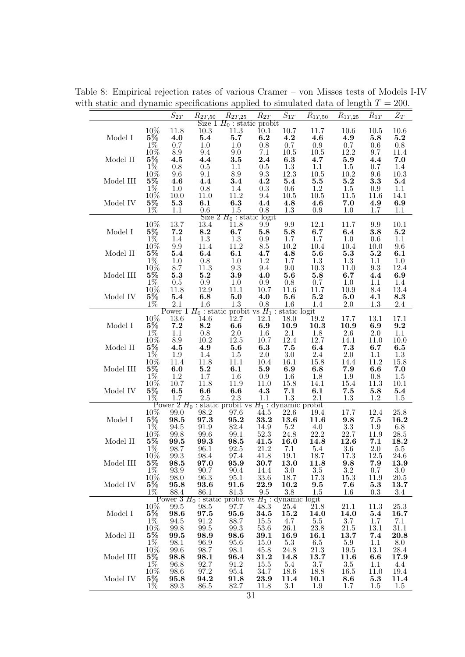Table 8: Empirical rejection rates of various Cramer – von Misses tests of Models I-IV with static and dynamic specifications applied to simulated data of length  $T = 200$ .

|           |                                                       | $\hat{S}_{2\underline{T}}$    | $R_{2T,50}$                                          | $R_{2T,25}$                                                        | $R_{2T}$                        | $\hat{S}_{1T}$                             | $R_{1T,50}$                                                 | $R_{1T,25}$                                | $R_{1T}$           | $\tilde{Z}_T$             |
|-----------|-------------------------------------------------------|-------------------------------|------------------------------------------------------|--------------------------------------------------------------------|---------------------------------|--------------------------------------------|-------------------------------------------------------------|--------------------------------------------|--------------------|---------------------------|
|           | $10\%$                                                | 11.8                          | 10.3                                                 | Size $1 H_0$ : static probit<br>$11.3\,$                           | $\overline{10.1}$               | $10.7\,$                                   | $11.7\,$                                                    | 10.6                                       | 10.5               | $10.6\,$                  |
| Model I   | $5\%$                                                 | 4.0                           | $\bf 5.4$                                            | $5.7\,$                                                            | 6.2                             | 4.2                                        | 4.6                                                         | 4.9                                        | 5.8                | $5.2\,$                   |
|           | $1\%$<br>$10\%$                                       | 0.7<br>$\!\!\!\!\!8.9$        | $1.0\,$<br>$\ \, 9.4$                                | 1.0<br>$9.0\,$                                                     | $0.8\,$<br>7.1                  | $0.7\,$<br>$10.5\,$                        | 0.9<br>$10.5\,$                                             | 0.7<br>12.2                                | 0.6<br>9.7         | $0.8\,$<br>11.4           |
| Model II  | $5\%$                                                 | 4.5                           | 4.4                                                  | 3.5                                                                | 2.4                             | 6.3                                        | 4.7                                                         | $\boldsymbol{5.9}$                         | 4.4                | 7.0                       |
|           | $1\%$                                                 | 0.8                           | $0.5\,$                                              | 1.1                                                                | $0.5\,$                         | $1.3\,$                                    | $1.1\,$                                                     | $1.5\,$                                    | 0.7                | 1.4                       |
| Model III | 10%<br>$5\%$                                          | $9.6\,$<br>4.6                | $9.1\,$<br>4.4                                       | $\!\!\!\!\!8.9$<br>3.4                                             | $\rm 9.3$<br>4.2                | 12.3<br>5.4                                | $10.5\,$<br>$\bf 5.5$                                       | $10.2\,$<br>$\bf 5.2$                      | $\,9.6$<br>3.3     | 10.3<br>5.4               |
|           |                                                       | $1.0\,$                       | $0.8\,$                                              |                                                                    |                                 |                                            | 1.2                                                         |                                            | 0.9                | 1.1                       |
|           |                                                       | 10.0                          | $11.0\,$                                             | $\begin{array}{c} 1.4 \\ 11.2 \end{array}$                         | $\stackrel{0.3}{9.4}$           | $\begin{array}{c} 0.6 \\ 10.5 \end{array}$ | $10.5\,$                                                    | $\begin{array}{c} 1.5 \\ 11.5 \end{array}$ | 11.6               | 14.1                      |
| Model IV  | $\frac{1\%}{10\%}\ \frac{10\%}{5\%}\ \frac{5\%}{1\%}$ | $5.3\,$<br>1.1                | 6.1<br>$0.6\,$                                       | 6.3<br>$1.5\,$                                                     | 4.4<br>0.8                      | 4.8<br>$1.3\,$                             | 4.6<br>$\rm 0.9$                                            | 7.0<br>1.0                                 | 4.9<br>1.7         | $\boldsymbol{6.9}$<br>1.1 |
|           |                                                       |                               |                                                      | Size $2 H_0$ : static logit                                        |                                 |                                            |                                                             |                                            |                    |                           |
|           | 10%                                                   | 13.7                          | 13.4                                                 | 11.8                                                               | 9.9                             | $\rm 9.9$                                  | 12.1                                                        | 11.7                                       | 9.9                | 10.1                      |
| Model I   | $5\%$<br>$1\%$                                        | 7.2<br>$1.4\,$                | 8.2<br>$1.3\,$                                       | 6.7<br>1.3                                                         | $\boldsymbol{5.8}$<br>$\rm 0.9$ | $\boldsymbol{5.8}$<br>1.7                  | 6.7<br>1.7                                                  | 6.4<br>$1.0\,$                             | 3.8<br>$0.6\,$     | $5.2\,$<br>1.1            |
|           | 10%                                                   | $\rm 9.9$                     | 11.4                                                 | $11.2\,$                                                           | $\!\!\!\!\!8.5\!\!\!\!$         | 10.2                                       | 10.4                                                        | $10.4\,$                                   | 10.0               | 9.6                       |
| Model II  | $5\%$                                                 | $\bf 5.4$                     | 6.4                                                  | 6.1                                                                | 4.7                             | $\bf 4.8$                                  | 5.6                                                         | $\bf 5.3$                                  | $\bf 5.2$          | 6.1                       |
|           | $\frac{1\%}{10\%}$<br>5%                              | $1.0\,$<br>8.7                | $0.8\,$<br>$11.3\,$                                  | $1.0\,$<br>$\rm 9.3$                                               | $1.2\,$<br>$\,9.4$              | 1.7<br>$9.0\,$                             | 1.3<br>$10.3\,$                                             | $\begin{array}{c} 1.3 \\ 11.0 \end{array}$ | $1.1\,$<br>$9.3\,$ | $1.0\,$<br>12.4           |
| Model III |                                                       | $\bf 5.3$                     | $\bf 5.2$                                            | $\bf 3.9$                                                          | 4.0                             | $\bf 5.6$                                  | $\boldsymbol{5.8}$                                          | 6.7                                        | 4.4                | 6.9                       |
|           | $\frac{1\%}{10\%}$                                    | $0.5\,$                       | $\rm 0.9$                                            | $1.0\,$                                                            | $\rm 0.9$                       | $\begin{array}{c} 0.8 \\ 11.6 \end{array}$ | $\frac{0.7}{11.7}$                                          | 1.0                                        | 1.1                | 1.4                       |
| Model IV  | $5\%$                                                 | 11.8<br>$\bf 5.4$             | 12.9<br>6.8                                          | $11.1\,$<br>$5.0\,$                                                | $10.7\,$<br>4.0                 | 5.6                                        | $\bf 5.2$                                                   | 10.9<br>$5.0\,$                            | 8.4<br>4.1         | 13.4<br>$\bf 8.3$         |
|           | $1\%$                                                 | $2.1\,$                       | $1.6\,$                                              | $1.3\,$                                                            | 0.8                             | $1.6\,$                                    | $1.4\,$                                                     | $2.0\,$                                    | 1.3                | 2.4                       |
|           |                                                       | $13.6\,$                      | 14.6                                                 | Power 1 $H_0$ : static probit vs $H_1$ : static logit<br>12.7      | 12.1                            | 18.0                                       | 19.2                                                        | 17.7                                       | 13.1               | 17.1                      |
| Model I   | $\underset{1\%}{10\%}\,\frac{5\%}{1\%}$               | $\bf 7.2$                     | 8.2                                                  | $\bf6.6$                                                           | 6.9                             | 10.9                                       | 10.3                                                        | 10.9                                       | 6.9                | $\bf 9.2$                 |
|           |                                                       | 1.1                           | $0.8\,$                                              | $2.0\,$                                                            | 1.6                             | 2.1                                        | 1.8                                                         | 2.6                                        | $2.0\,$            | 1.1                       |
| Model II  |                                                       | $\ \ 8.9$                     | $10.2\,$<br>4.9                                      | $12.5\,$                                                           | 10.7                            | 12.4<br>$\bf 7.5$                          | 12.7<br>6.4                                                 | 14.1<br>$\bf 7.3$                          | 11.0<br>6.7        | 10.0<br>$\bf6.5$          |
|           | $\frac{5\%}{1\%}$                                     | $\overset{\textbf{4.5}}{1.9}$ | 1.4                                                  | $\mathbf{5.6}\atop 1.5$                                            | $\overline{6.3}$<br>2.0         | $3.0\,$                                    | 2.4                                                         | $2.0\,$                                    | 1.1                | 1.3                       |
|           | $\frac{10\%}{5\%}$                                    | 11.4                          | 11.8                                                 | 11.1                                                               | 10.4                            | $16.1\,$                                   | $15.8\,$                                                    | 14.4                                       | $11.2\,$           | 15.8                      |
| Model III | $1\%$                                                 | 6.0                           | 5.2<br>$1.7\,$                                       | 6.1<br>1.6                                                         | $\boldsymbol{5.9}$              | 6.9                                        | 6.8<br>1.8                                                  | 7.9<br>$1.9\,$                             | 6.6<br>0.8         | $7.0\,$<br>$1.5\,$        |
|           | 10%                                                   | $\frac{1.2}{10.7}$            | 11.8                                                 | $11.9\,$                                                           | $\frac{0.9}{11.0}$              | $\begin{array}{c} 1.6 \\ 15.8 \end{array}$ | 14.1                                                        | $15.4\,$                                   | 11.3               | 10.1                      |
| Model IV  | $5\%$                                                 | 6.5                           | 6.6                                                  | 6.6                                                                | 4.3                             | 7.1                                        | 6.1                                                         | 7.5                                        | 5.8                | 5.4                       |
|           | $1\%$                                                 | 1.7                           | $2.5\,$                                              | $2.3\,$<br>Power $2 H_0$ : static probit vs $H_1$ : dynamic probit | 1.1                             | 1.3                                        | $2.1\,$                                                     | 1.3                                        | 1.2                | 1.5                       |
|           | $10\%$<br>5%<br>$10\%$<br>$10\%$<br>5%<br>$1\%$       | 99.0                          | $\begin{array}{c} 98.2 \\ \mathbf{97.3} \end{array}$ | 97.6                                                               | 44.5                            | 22.6                                       | 19.4                                                        | 17.7                                       | 12.4               | $25.8\,$                  |
| Model I   |                                                       | $\bf 98.5$                    |                                                      | $\bf 95.2$                                                         | 33.2                            | 13.6                                       | 11.6                                                        | $\bf 9.8$                                  | $\bf 7.5$          | 16.2                      |
|           |                                                       | $94.5\,$<br>$99.8\,$          | $91.9\,$<br>99.6                                     | $82.4\,$<br>$99.1\,$                                               | 14.9<br>$52.3\,$                | $\frac{5.2}{24.8}$<br>16.0                 | $\begin{array}{c} 4.0 \\ 22.2 \\ \textbf{14.8} \end{array}$ | $\frac{3.3}{22.7}$                         | 1.9<br>11.9        | $6.8\,$<br>$28.5\,$       |
| Model II  |                                                       | $\frac{99.5}{98.7}$           | $\frac{99.3}{96.1}$                                  | 98.5                                                               | $\frac{41.5}{21.2}$             |                                            |                                                             | $\bf 12.6$                                 | 7.1                | 18.2                      |
|           | $10\%$                                                |                               |                                                      | 92.5                                                               |                                 | 7.1                                        | 5.4                                                         | $3.6\,$                                    | $2.0\,$            | 5.5                       |
| Model III | $5\%$                                                 | 99.3<br>98.5                  | 98.4<br>97.0                                         | 97.4<br>95.9                                                       | 41.8<br>30.7                    | 19.1<br>13.0                               | 18.7<br>11.8                                                | 17.3<br>9.8                                | 12.5<br>7.9        | 24.6<br>13.9              |
|           | $1\%$                                                 | 93.9                          | 90.7                                                 | 90.4                                                               | 14.4                            | 3.0                                        | $3.5\,$                                                     | $3.2\,$                                    | 0.7                | $3.0\,$                   |
| Model IV  | 10%<br>$5\%$                                          | 98.0<br>95.8                  | 96.3<br>93.6                                         | 95.1<br>91.6                                                       | 33.6<br>22.9                    | 18.7<br>10.2                               | $17.3\,$<br>$9.5\,$                                         | 15.3<br>7.6                                | 11.9<br>5.3        | $20.5\,$<br>13.7          |
|           | $1\%$                                                 | $88.4\,$                      | 86.1                                                 | 81.3                                                               | $\,9.5$                         | $3.8\,$                                    | $1.5\,$                                                     | 1.6                                        | 0.3                | 3.4                       |
|           |                                                       |                               |                                                      | Power 3 $H_0$ : static probit vs $H_1$ : dynamic logit             |                                 |                                            |                                                             |                                            |                    |                           |
| Model I   | $\frac{10\%}{5\%}$                                    | 99.5<br>98.6                  | 98.5<br>97.5                                         | 97.7<br>95.6                                                       | 48.3<br>34.5                    | 25.4<br>15.2                               | 21.8<br>14.0                                                | 21.1<br>14.0                               | 11.3<br>5.4        | $25.3\,$<br>16.7          |
|           | $1\%$                                                 | 94.5                          | 91.2                                                 | 88.7                                                               | 15.5                            | 4.7                                        | 5.5                                                         | 3.7                                        | 1.7                | 7.1                       |
|           | 10%                                                   | 99.8                          | 99.5                                                 | 99.3                                                               | 53.6                            | 26.1                                       | 23.8                                                        | 21.5                                       | 13.1               | 31.1                      |
| Model II  | $5\%$<br>$1\%$                                        | 99.5<br>98.1                  | 98.9<br>96.9                                         | 98.6<br>95.6                                                       | 39.1<br>15.0                    | 16.9<br>5.3                                | 16.1<br>6.5                                                 | 13.7<br>5.9                                | 7.4<br>1.1         | 20.8<br>8.0               |
|           | 10%                                                   | 99.6                          | 98.7                                                 | 98.1                                                               | 45.8                            | 24.8                                       | 21.3                                                        | 19.5                                       | 13.1               | 28.4                      |
| Model III | $5\%$                                                 | 98.8                          | 98.1                                                 | 96.4                                                               | 31.2                            | 14.8                                       | 13.7                                                        | 11.6                                       | 6.6                | 17.9                      |
|           | $1\%$<br>10%                                          | 96.8<br>98.6                  | 92.7<br>$97.2\,$                                     | 91.2<br>95.4                                                       | 15.5<br>34.7                    | 5.4<br>18.6                                | $3.7\,$<br>18.8                                             | $3.5\,$<br>16.5                            | 1.1<br>11.0        | 4.4<br>19.4               |
| Model IV  | $5\%$                                                 | 95.8                          | 94.2                                                 | 91.8                                                               | 23.9                            | 11.4                                       | 10.1                                                        | 8.6                                        | 5.3                | 11.4                      |
|           | $1\%$                                                 | 89.3                          | 86.5                                                 | 82.7                                                               | 11.8                            | 3.1                                        | 1.9                                                         | 1.7                                        | 1.5                | 1.5                       |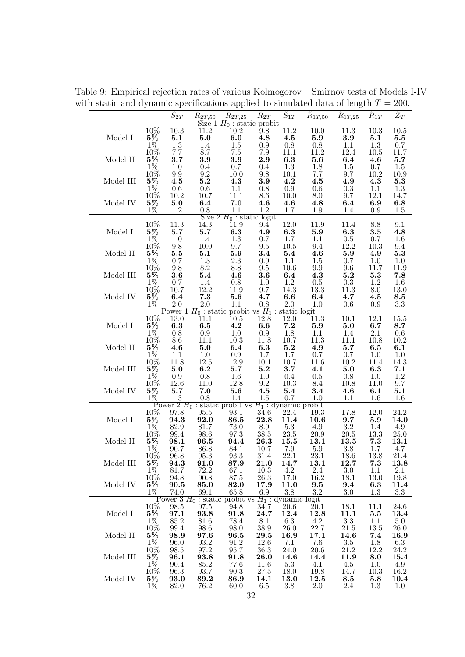$\hat{S}_{2T} - \hat{R}$  $R_{2T,50}$  $\hat{R}_{2T.25}$  $\hat{R}_{2T}$  $\hat{S}_{1T}$  $\hat{R}_{1T.50}$  $\hat{R}_{1T,25}$  $\hat{R}_{1T}$  $\hat{Z}_T$ Size  $1 H_0$ : static probit  $11.2$   $10.2$   $9.8$ 10% 10.3 11.2 10.2 9.8 11.2 10.0 11.3 10.3 10.5 Model I 5% 5.1 5.0 6.0 4.8 4.5 5.9 3.9 5.1 5.5 1% 1.3 1.4 1.5 0.9 0.8 0.8 1.1 1.3 0.7 10% 7.7 8.7 7.5 7.9 11.1 11.2 12.4 10.5 11.7 Model II 5% 3.7 3.9 3.9 2.9 6.3 5.6 6.4 4.6 5.7 1% 1.0 0.4 0.7 0.4 1.3 1.8 1.5 0.7 1.5 10% 9.9 9.2 10.0 9.8 10.1 7.7 9.7 10.2 10.9 Model III 5% 4.5 5.2 4.3 3.9 4.2 4.5 4.9 4.3 5.3 1% 0.6 0.6 1.1 0.8 0.9 0.6 0.3 1.1 1.3 10% 10.2 10.7 11.1 8.6 10.0 8.0 9.7 12.1 14.7 Model IV 5% 5.0 6.4 7.0 4.6 4.6 4.8 6.4 6.9 6.8 1% 1.2 0.8 1.1 1.2 1.7 1.9 1.4 0.9 1.5 Size  $2 H_0$ : static logit 10% 11.3 14.3 11.9 9.4 12.0 11.9 11.4 8.8 9.1 Model I  $5\%$  5.7 5.7 6.3 4.9 6.3 5.9 6.3 3.5 4.8 1% 1.0 1.4 1.3 0.7 1.7 1.1 0.5 0.7 1.6 10% 9.8 10.0 9.7 9.5 10.5 9.4 12.2 10.3 9.4 Model II 5% 5.5 5.1 5.9 3.4 5.4 4.6 5.9 4.9 5.3 1% 0.7 1.3 2.3 0.9 1.1 1.5 0.7 1.0 1.0 10% 9.8 8.2 8.8 9.5 10.6 9.9 9.6 11.7 11.9 Model III  $5\%$   $3.6$   $5.4$   $4.6$   $3.6$   $6.4$   $4.3$   $5.2$   $5.3$   $7.8$ 1% 0.7 1.4 0.8 1.0 1.2 0.5 0.3 1.2 1.6 10% 10.7 12.2 11.9 9.7 14.3 13.3 11.3 8.0 13.0 Model IV 5% 6.4 7.3 5.6 4.7 6.6 6.4 4.7 4.5 8.5 1% 2.0 2.0 1.1 0.8 2.0 1.0 0.6 0.9 3.3  $\frac{2.0}{2.0}$  and  $\frac{2.0}{1.1}$  in the static logit<br>13.0 11.1 10.5 12.8 12.0 11.3 10% 13.0 11.1 10.5 12.8 12.0 11.3 10.1 12.1 15.5 Model I  $5\%$  6.3 6.5 4.2 6.6 7.2 5.9 5.0 6.7 8.7 1% 0.8 0.9 1.0 0.9 1.8 1.1 1.4 2.1 0.6 10% 8.6 11.1 10.3 11.8 10.7 11.3 11.1 10.8 10.2 Model II  $5\%$   $4.6$   $5.0$   $6.4$   $6.3$   $5.2$   $4.9$   $5.7$   $6.5$   $6.1$ 1% 1.1 1.0 0.9 1.7 1.7 0.7 0.7 1.0 1.0 10% 11.8 12.5 12.9 10.1 10.7 11.6 10.2 11.4 14.3 Model III 5% 5.0 6.2 5.7 5.2 3.7 4.1 5.0 6.3 7.1 1% 0.9 0.8 1.6 1.0 0.4 0.5 0.8 1.0 1.2 10% 12.6 11.0 12.8 9.2 10.3 8.4 10.8 11.0 9.7 Model IV 5% 5.7 7.0 5.6 4.5 5.4 3.4 4.6 6.1 5.1 1% 1.3 0.8 1.4 1.5 0.7 1.0 1.1 1.6 1.6 Power  $2 H_0$ : static probit vs  $H_1$ : dynamic probit  $10\%$  97.8 95.5 93.1 34.6 22.4 19.3 10% 97.8 95.5 93.1 34.6 22.4 19.3 17.8 12.0 24.2 Model I 5% 94.3 92.0 86.5 22.8 11.4 10.6 9.7 5.9 14.0 1% 82.9 81.7 73.0 8.9 5.3 4.9 3.2 1.4 4.9 10% 99.4 98.6 97.3 38.5 23.5 20.9 20.5 13.3 25.0 Model II 5% 98.1 96.5 94.4 26.3 15.5 13.1 13.5 7.3 13.1 1% 90.7 86.8 84.1 10.7 7.9 5.9 3.8 1.7 4.7 10% 96.8 95.3 93.3 31.4 22.1 23.1 18.6 13.8 21.4 10% 96.8 95.3 93.3 31.4 22.1 23.1 18.6 13.8 21.4<br>Model III 5% 94.3 91.0 87.9 21.0 14.7 13.1 12.7 7.3 13.8<br>1% 81.7 72.2 67.1 10.3 4.2 2.4 3.0 1.1 2.1 1% 81.7 72.2 67.1 10.3 4.2 2.4 3.0 1.1 2.1 10% 94.8 90.8 87.5 26.3 17.0 16.2 18.1 13.0 19.8 Model IV 5% 90.5 85.0 82.0 17.9 11.0 9.5 9.4 6.3 11.4 1% 74.0 69.1 65.8 6.9 3.8 3.2 3.0 1.3 3.3 Power 3  $H_0$ : static probit vs  $H_1$ : dynamic 10% 98.5 97.5 94.8 34.7 20.6 10% 98.5 97.5 94.8 34.7 20.6 20.1 18.1 11.1 24.6<br>
5% 97.1 93.8 91.8 24.7 12.4 12.8 11.1 5.5 13.4<br>
1% 85.2 81.6 78.4 8.1 6.3 4.2 3.3 1.1 5.0<br>
10% 99.4 98.6 98.0 38.9 26.0 22.7 21.5 13.5 26.0 Model I 5% 97.1 93.8 91.8 24.7 12.4 12.8 11.1 5.5 13.4 1% 85.2 81.6 78.4 8.1 6.3 4.2 3.3 1.1 5.0 10% 99.4 98.6 98.0 38.9 26.0 22.7 21.5 13.5 26.0 Model II 5% 98.9 97.6 96.5 29.5 16.9 17.1 14.6 7.4 16.9 1% 96.0 93.2 91.2 12.6 7.1 7.6 3.5 1.8 6.3 10% 98.5 97.2 95.7 36.3 24.0 20.6 21.2 12.2 24.2 Model III 5% 96.1 93.8 91.8 26.0 14.6 14.4 11.9 8.0 15.4 1% 90.4 85.2 77.6 11.6 5.3 4.1 4.5 1.0 4.9 10% 96.3 93.7 90.3 27.5 18.0 19.8 14.7 10.3 16.2 Model IV 5% 93.0 89.2 86.9 14.1 13.0 12.5 8.5 5.8 10.4 1% 82.0 76.2 60.0 6.5 3.8 2.0 2.4 1.3 1.0

Table 9: Empirical rejection rates of various Kolmogorov – Smirnov tests of Models I-IV with static and dynamic specifications applied to simulated data of length  $T = 200$ .